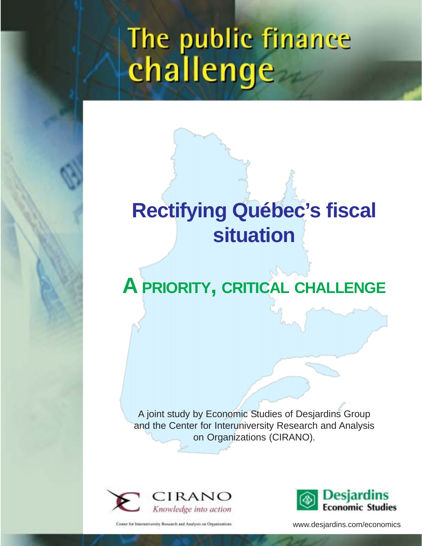# The public finance<br>challenge

# **Rectifying Québec's fiscal situation**

# **A PRIORITY, CRITICAL CHALLENGE**

A joint study by Economic Studies of Desjardins Group and the Center for Interuniversity Research and Analysis on Organizations (CIRANO).



Center for Interest versity Research and Analysis on Organizations



www.desjardins.com/economics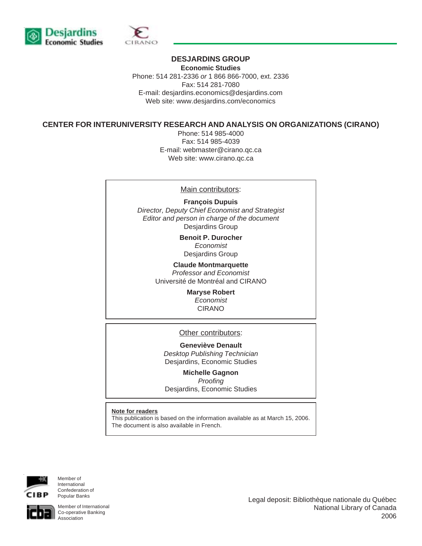



#### **DESJARDINS GROUP**

**Economic Studies** Phone: 514 281-2336 *or* 1 866 866-7000, ext. 2336 Fax: 514 281-7080 E-mail: desjardins.economics@desjardins.com Web site: www.desjardins.com/economics

#### **CENTER FOR INTERUNIVERSITY RESEARCH AND ANALYSIS ON ORGANIZATIONS (CIRANO)**

Phone: 514 985-4000 Fax: 514 985-4039 E-mail: webmaster@cirano.qc.ca Web site: www.cirano.qc.ca

#### Main contributors:

**François Dupuis** *Director, Deputy Chief Economist and Strategist Editor and person in charge of the document* Desjardins Group

> **Benoit P. Durocher** *Economist* Desjardins Group

**Claude Montmarquette** *Professor and Economist* Université de Montréal and CIRANO

> **Maryse Robert** *Economist* CIRANO

#### Other contributors:

**Geneviève Denault** *Desktop Publishing Technician* Desjardins, Economic Studies

**Michelle Gagnon**

*Proofing* Desjardins, Economic Studies

#### **Note for readers**

This publication is based on the information available as at March 15, 2006. The document is also available in French.



Member of International Confederation of Popular Banks

Member of International Co-operative Banking Association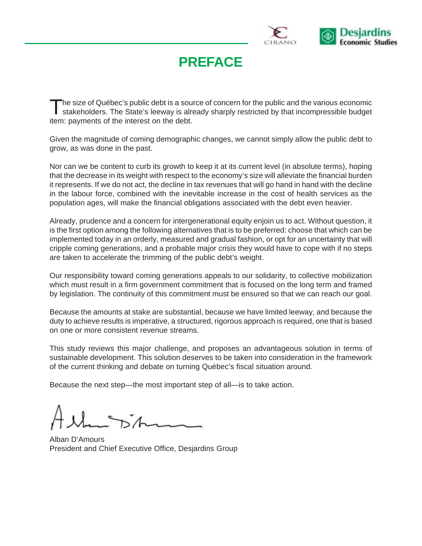

# **PREFACE**

The size of Québec's public debt is a source of concern for the public and the various economic<br>stakeholders. The State's leeway is already sharply restricted by that incompressible budget item: payments of the interest on the debt.

Given the magnitude of coming demographic changes, we cannot simply allow the public debt to grow, as was done in the past.

Nor can we be content to curb its growth to keep it at its current level (in absolute terms), hoping that the decrease in its weight with respect to the economy's size will alleviate the financial burden it represents. If we do not act, the decline in tax revenues that will go hand in hand with the decline in the labour force, combined with the inevitable increase in the cost of health services as the population ages, will make the financial obligations associated with the debt even heavier.

Already, prudence and a concern for intergenerational equity enjoin us to act. Without question, it is the first option among the following alternatives that is to be preferred: choose that which can be implemented today in an orderly, measured and gradual fashion, or opt for an uncertainty that will cripple coming generations, and a probable major crisis they would have to cope with if no steps are taken to accelerate the trimming of the public debt's weight.

Our responsibility toward coming generations appeals to our solidarity, to collective mobilization which must result in a firm government commitment that is focused on the long term and framed by legislation. The continuity of this commitment must be ensured so that we can reach our goal.

Because the amounts at stake are substantial, because we have limited leeway, and because the duty to achieve results is imperative, a structured, rigorous approach is required, one that is based on one or more consistent revenue streams.

This study reviews this major challenge, and proposes an advantageous solution in terms of sustainable development. This solution deserves to be taken into consideration in the framework of the current thinking and debate on turning Québec's fiscal situation around.

Because the next step—the most important step of all—is to take action.

Alban D'Amours President and Chief Executive Office, Desjardins Group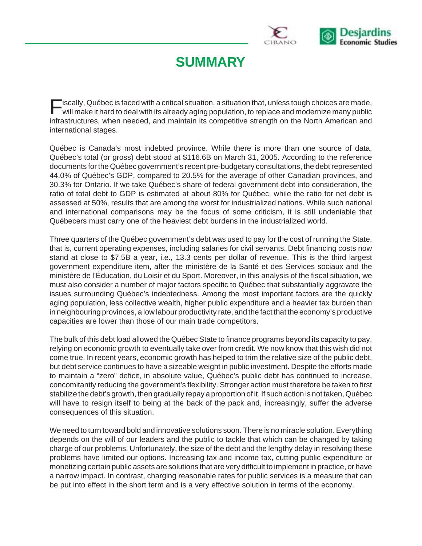

# **SUMMARY**

Fiscally, Québec is faced with a critical situation, a situation that, unless tough choices are made, will make it hard to deal with its already aging population, to replace and modernize many public infrastructures, when needed, and maintain its competitive strength on the North American and international stages.

Québec is Canada's most indebted province. While there is more than one source of data, Québec's total (or gross) debt stood at \$116.6B on March 31, 2005. According to the reference documents for the Québec government's recent pre-budgetary consultations, the debt represented 44.0% of Québec's GDP, compared to 20.5% for the average of other Canadian provinces, and 30.3% for Ontario. If we take Québec's share of federal government debt into consideration, the ratio of total debt to GDP is estimated at about 80% for Québec, while the ratio for net debt is assessed at 50%, results that are among the worst for industrialized nations. While such national and international comparisons may be the focus of some criticism, it is still undeniable that Québecers must carry one of the heaviest debt burdens in the industrialized world.

Three quarters of the Québec government's debt was used to pay for the cost of running the State, that is, current operating expenses, including salaries for civil servants. Debt financing costs now stand at close to \$7.5B a year, i.e., 13.3 cents per dollar of revenue. This is the third largest government expenditure item, after the ministère de la Santé et des Services sociaux and the ministère de l'Éducation, du Loisir et du Sport. Moreover, in this analysis of the fiscal situation, we must also consider a number of major factors specific to Québec that substantially aggravate the issues surrounding Québec's indebtedness. Among the most important factors are the quickly aging population, less collective wealth, higher public expenditure and a heavier tax burden than in neighbouring provinces, a low labour productivity rate, and the fact that the economy's productive capacities are lower than those of our main trade competitors.

The bulk of this debt load allowed the Québec State to finance programs beyond its capacity to pay, relying on economic growth to eventually take over from credit. We now know that this wish did not come true. In recent years, economic growth has helped to trim the relative size of the public debt, but debt service continues to have a sizeable weight in public investment. Despite the efforts made to maintain a "zero" deficit, in absolute value, Québec's public debt has continued to increase, concomitantly reducing the government's flexibility. Stronger action must therefore be taken to first stabilize the debt's growth, then gradually repay a proportion of it. If such action is not taken, Québec will have to resign itself to being at the back of the pack and, increasingly, suffer the adverse consequences of this situation.

We need to turn toward bold and innovative solutions soon. There is no miracle solution. Everything depends on the will of our leaders and the public to tackle that which can be changed by taking charge of our problems. Unfortunately, the size of the debt and the lengthy delay in resolving these problems have limited our options. Increasing tax and income tax, cutting public expenditure or monetizing certain public assets are solutions that are very difficult to implement in practice, or have a narrow impact. In contrast, charging reasonable rates for public services is a measure that can be put into effect in the short term and is a very effective solution in terms of the economy.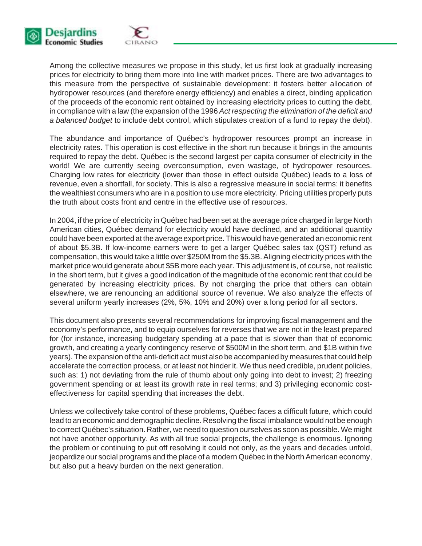

Among the collective measures we propose in this study, let us first look at gradually increasing prices for electricity to bring them more into line with market prices. There are two advantages to this measure from the perspective of sustainable development: it fosters better allocation of hydropower resources (and therefore energy efficiency) and enables a direct, binding application of the proceeds of the economic rent obtained by increasing electricity prices to cutting the debt, in compliance with a law (the expansion of the 1996 *Act respecting the elimination of the deficit and a balanced budget* to include debt control, which stipulates creation of a fund to repay the debt).

The abundance and importance of Québec's hydropower resources prompt an increase in electricity rates. This operation is cost effective in the short run because it brings in the amounts required to repay the debt. Québec is the second largest per capita consumer of electricity in the world! We are currently seeing overconsumption, even wastage, of hydropower resources. Charging low rates for electricity (lower than those in effect outside Québec) leads to a loss of revenue, even a shortfall, for society. This is also a regressive measure in social terms: it benefits the wealthiest consumers who are in a position to use more electricity. Pricing utilities properly puts the truth about costs front and centre in the effective use of resources.

In 2004, if the price of electricity in Québec had been set at the average price charged in large North American cities, Québec demand for electricity would have declined, and an additional quantity could have been exported at the average export price. This would have generated an economic rent of about \$5.3B. If low-income earners were to get a larger Québec sales tax (QST) refund as compensation, this would take a little over \$250M from the \$5.3B. Aligning electricity prices with the market price would generate about \$5B more each year. This adjustment is, of course, not realistic in the short term, but it gives a good indication of the magnitude of the economic rent that could be generated by increasing electricity prices. By not charging the price that others can obtain elsewhere, we are renouncing an additional source of revenue. We also analyze the effects of several uniform yearly increases (2%, 5%, 10% and 20%) over a long period for all sectors.

This document also presents several recommendations for improving fiscal management and the economy's performance, and to equip ourselves for reverses that we are not in the least prepared for (for instance, increasing budgetary spending at a pace that is slower than that of economic growth, and creating a yearly contingency reserve of \$500M in the short term, and \$1B within five years). The expansion of the anti-deficit act must also be accompanied by measures that could help accelerate the correction process, or at least not hinder it. We thus need credible, prudent policies, such as: 1) not deviating from the rule of thumb about only going into debt to invest; 2) freezing government spending or at least its growth rate in real terms; and 3) privileging economic costeffectiveness for capital spending that increases the debt.

Unless we collectively take control of these problems, Québec faces a difficult future, which could lead to an economic and demographic decline. Resolving the fiscal imbalance would not be enough to correct Québec's situation. Rather, we need to question ourselves as soon as possible. We might not have another opportunity. As with all true social projects, the challenge is enormous. Ignoring the problem or continuing to put off resolving it could not only, as the years and decades unfold, jeopardize our social programs and the place of a modern Québec in the North American economy, but also put a heavy burden on the next generation.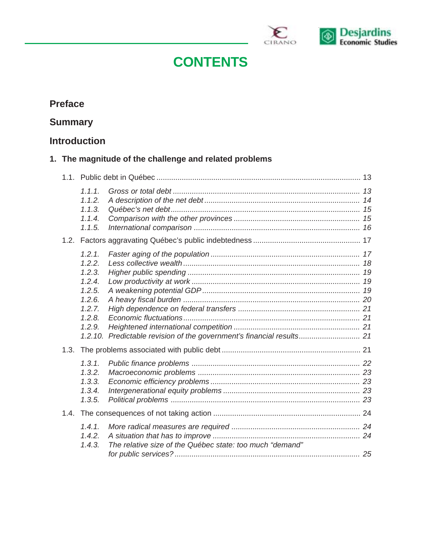

# **CONTENTS**

## **Preface**

## **Summary**

## **Introduction**

## **1. The magnitude of the challenge and related problems**

|      | 1.1.1.<br>1.1.2.<br>1.1.3.<br>1.1.4.<br>1.1.5.                                                    |                                                          |  |
|------|---------------------------------------------------------------------------------------------------|----------------------------------------------------------|--|
| 1.2. |                                                                                                   |                                                          |  |
|      | 1.2.1.<br>1.2.2.<br>1.2.3.<br>1.2.4.<br>1.2.5.<br>1.2.6.<br>1.2.7.<br>1.2.8.<br>1.2.9.<br>1.2.10. |                                                          |  |
| 1.3. |                                                                                                   |                                                          |  |
|      | 1.3.1.<br>1.3.2.<br>1.3.3.<br>1.3.4.<br>1.3.5.                                                    |                                                          |  |
| 1.4. |                                                                                                   |                                                          |  |
|      | 1.4.1.<br>1.4.2.<br>1.4.3.                                                                        | The relative size of the Québec state: too much "demand" |  |
|      |                                                                                                   |                                                          |  |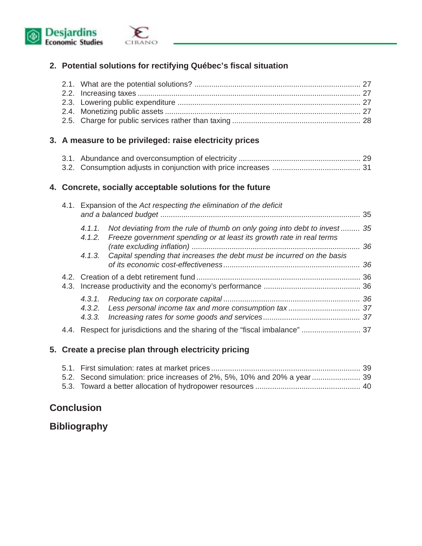

### **2. Potential solutions for rectifying Québec's fiscal situation**

#### **3. A measure to be privileged: raise electricity prices**

#### **4. Concrete, socially acceptable solutions for the future**

| 4.1. |        | Expansion of the Act respecting the elimination of the deficit                                                                                            |  |
|------|--------|-----------------------------------------------------------------------------------------------------------------------------------------------------------|--|
|      | 4.1.1. | Not deviating from the rule of thumb on only going into debt to invest  35<br>4.1.2. Freeze government spending or at least its growth rate in real terms |  |
|      |        | 4.1.3. Capital spending that increases the debt must be incurred on the basis                                                                             |  |
| 4.3. |        |                                                                                                                                                           |  |
|      | 4.3.3. |                                                                                                                                                           |  |
|      |        |                                                                                                                                                           |  |

#### **5. Create a precise plan through electricity pricing**

## **Conclusion**

## **Bibliography**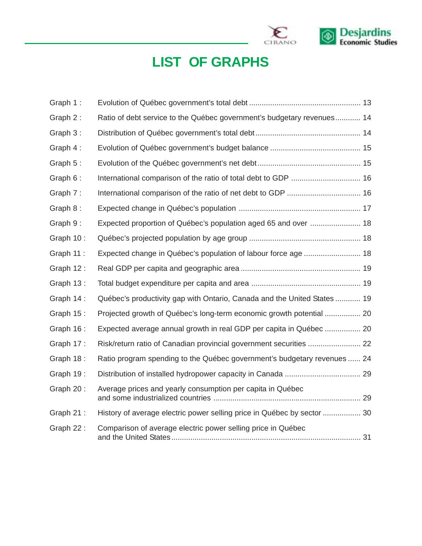

# **LIST OF GRAPHS**

| Graph 1:  |                                                                          |  |
|-----------|--------------------------------------------------------------------------|--|
| Graph 2:  | Ratio of debt service to the Québec government's budgetary revenues 14   |  |
| Graph 3:  |                                                                          |  |
| Graph 4:  |                                                                          |  |
| Graph 5:  |                                                                          |  |
| Graph 6:  | International comparison of the ratio of total debt to GDP  16           |  |
| Graph 7:  |                                                                          |  |
| Graph 8:  |                                                                          |  |
| Graph 9:  | Expected proportion of Québec's population aged 65 and over  18          |  |
| Graph 10: |                                                                          |  |
| Graph 11: | Expected change in Québec's population of labour force age  18           |  |
| Graph 12: |                                                                          |  |
| Graph 13: |                                                                          |  |
| Graph 14: | Québec's productivity gap with Ontario, Canada and the United States  19 |  |
| Graph 15: | Projected growth of Québec's long-term economic growth potential  20     |  |
| Graph 16: | Expected average annual growth in real GDP per capita in Québec  20      |  |
| Graph 17: | Risk/return ratio of Canadian provincial government securities  22       |  |
| Graph 18: | Ratio program spending to the Québec government's budgetary revenues  24 |  |
| Graph 19: |                                                                          |  |
| Graph 20: | Average prices and yearly consumption per capita in Québec               |  |
| Graph 21: | History of average electric power selling price in Québec by sector  30  |  |
| Graph 22: | Comparison of average electric power selling price in Québec             |  |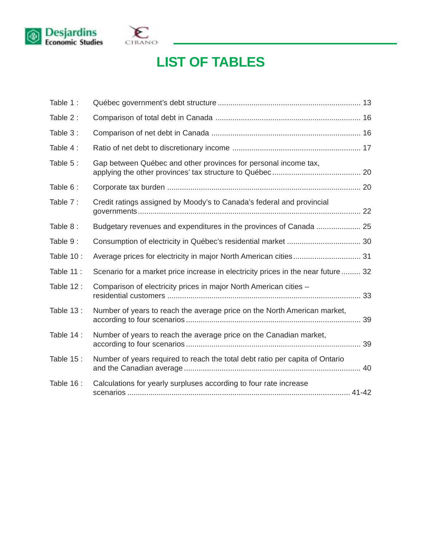



# **LIST OF TABLES**

| Table 1:  |                                                                                   |    |
|-----------|-----------------------------------------------------------------------------------|----|
| Table 2:  |                                                                                   |    |
| Table 3:  |                                                                                   |    |
| Table 4:  |                                                                                   |    |
| Table 5:  | Gap between Québec and other provinces for personal income tax,                   |    |
| Table 6:  |                                                                                   |    |
| Table 7:  | Credit ratings assigned by Moody's to Canada's federal and provincial             |    |
| Table 8:  | Budgetary revenues and expenditures in the provinces of Canada  25                |    |
| Table 9:  |                                                                                   |    |
| Table 10: |                                                                                   |    |
| Table 11: | Scenario for a market price increase in electricity prices in the near future  32 |    |
| Table 12: | Comparison of electricity prices in major North American cities -                 |    |
| Table 13: | Number of years to reach the average price on the North American market,          |    |
| Table 14: | Number of years to reach the average price on the Canadian market,                | 39 |
| Table 15: | Number of years required to reach the total debt ratio per capita of Ontario      |    |
| Table 16: | Calculations for yearly surpluses according to four rate increase                 |    |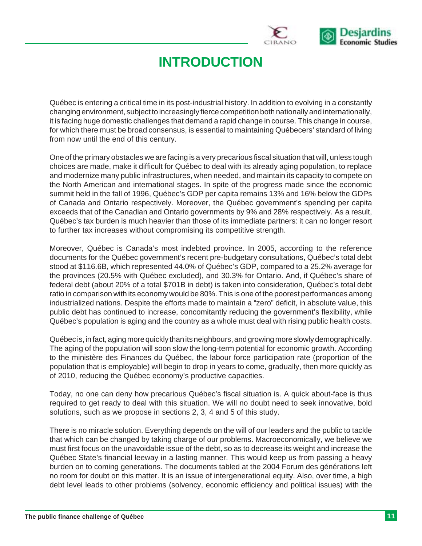

# **INTRODUCTION**

Québec is entering a critical time in its post-industrial history. In addition to evolving in a constantly changing environment, subject to increasingly fierce competition both nationally and internationally, it is facing huge domestic challenges that demand a rapid change in course. This change in course, for which there must be broad consensus, is essential to maintaining Québecers' standard of living from now until the end of this century.

One of the primary obstacles we are facing is a very precarious fiscal situation that will, unless tough choices are made, make it difficult for Québec to deal with its already aging population, to replace and modernize many public infrastructures, when needed, and maintain its capacity to compete on the North American and international stages. In spite of the progress made since the economic summit held in the fall of 1996, Québec's GDP per capita remains 13% and 16% below the GDPs of Canada and Ontario respectively. Moreover, the Québec government's spending per capita exceeds that of the Canadian and Ontario governments by 9% and 28% respectively. As a result, Québec's tax burden is much heavier than those of its immediate partners: it can no longer resort to further tax increases without compromising its competitive strength.

Moreover, Québec is Canada's most indebted province. In 2005, according to the reference documents for the Québec government's recent pre-budgetary consultations, Québec's total debt stood at \$116.6B, which represented 44.0% of Québec's GDP, compared to a 25.2% average for the provinces (20.5% with Québec excluded), and 30.3% for Ontario. And, if Québec's share of federal debt (about 20% of a total \$701B in debt) is taken into consideration, Québec's total debt ratio in comparison with its economy would be 80%. This is one of the poorest performances among industrialized nations. Despite the efforts made to maintain a "zero" deficit, in absolute value, this public debt has continued to increase, concomitantly reducing the government's flexibility, while Québec's population is aging and the country as a whole must deal with rising public health costs.

Québec is, in fact, aging more quickly than its neighbours, and growing more slowly demographically. The aging of the population will soon slow the long-term potential for economic growth. According to the ministère des Finances du Québec, the labour force participation rate (proportion of the population that is employable) will begin to drop in years to come, gradually, then more quickly as of 2010, reducing the Québec economy's productive capacities.

Today, no one can deny how precarious Québec's fiscal situation is. A quick about-face is thus required to get ready to deal with this situation. We will no doubt need to seek innovative, bold solutions, such as we propose in sections 2, 3, 4 and 5 of this study.

There is no miracle solution. Everything depends on the will of our leaders and the public to tackle that which can be changed by taking charge of our problems. Macroeconomically, we believe we must first focus on the unavoidable issue of the debt, so as to decrease its weight and increase the Québec State's financial leeway in a lasting manner. This would keep us from passing a heavy burden on to coming generations. The documents tabled at the 2004 Forum des générations left no room for doubt on this matter. It is an issue of intergenerational equity. Also, over time, a high debt level leads to other problems (solvency, economic efficiency and political issues) with the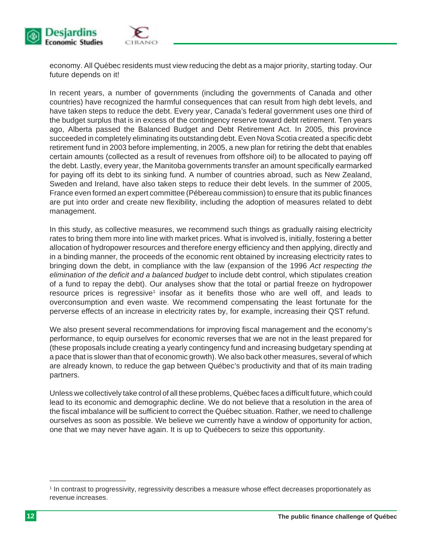

economy. All Québec residents must view reducing the debt as a major priority, starting today. Our future depends on it!

In recent years, a number of governments (including the governments of Canada and other countries) have recognized the harmful consequences that can result from high debt levels, and have taken steps to reduce the debt. Every year, Canada's federal government uses one third of the budget surplus that is in excess of the contingency reserve toward debt retirement. Ten years ago, Alberta passed the Balanced Budget and Debt Retirement Act. In 2005, this province succeeded in completely eliminating its outstanding debt. Even Nova Scotia created a specific debt retirement fund in 2003 before implementing, in 2005, a new plan for retiring the debt that enables certain amounts (collected as a result of revenues from offshore oil) to be allocated to paying off the debt. Lastly, every year, the Manitoba governments transfer an amount specifically earmarked for paying off its debt to its sinking fund. A number of countries abroad, such as New Zealand, Sweden and Ireland, have also taken steps to reduce their debt levels. In the summer of 2005, France even formed an expert committee (Pébereau commission) to ensure that its public finances are put into order and create new flexibility, including the adoption of measures related to debt management.

In this study, as collective measures, we recommend such things as gradually raising electricity rates to bring them more into line with market prices. What is involved is, initially, fostering a better allocation of hydropower resources and therefore energy efficiency and then applying, directly and in a binding manner, the proceeds of the economic rent obtained by increasing electricity rates to bringing down the debt, in compliance with the law (expansion of the 1996 *Act respecting the elimination of the deficit and a balanced budget* to include debt control, which stipulates creation of a fund to repay the debt). Our analyses show that the total or partial freeze on hydropower resource prices is regressive<sup>1</sup> insofar as it benefits those who are well off, and leads to overconsumption and even waste. We recommend compensating the least fortunate for the perverse effects of an increase in electricity rates by, for example, increasing their QST refund.

We also present several recommendations for improving fiscal management and the economy's performance, to equip ourselves for economic reverses that we are not in the least prepared for (these proposals include creating a yearly contingency fund and increasing budgetary spending at a pace that is slower than that of economic growth). We also back other measures, several of which are already known, to reduce the gap between Québec's productivity and that of its main trading partners.

Unless we collectively take control of all these problems, Québec faces a difficult future, which could lead to its economic and demographic decline. We do not believe that a resolution in the area of the fiscal imbalance will be sufficient to correct the Québec situation. Rather, we need to challenge ourselves as soon as possible. We believe we currently have a window of opportunity for action, one that we may never have again. It is up to Québecers to seize this opportunity.

<sup>1</sup> In contrast to progressivity, regressivity describes a measure whose effect decreases proportionately as revenue increases.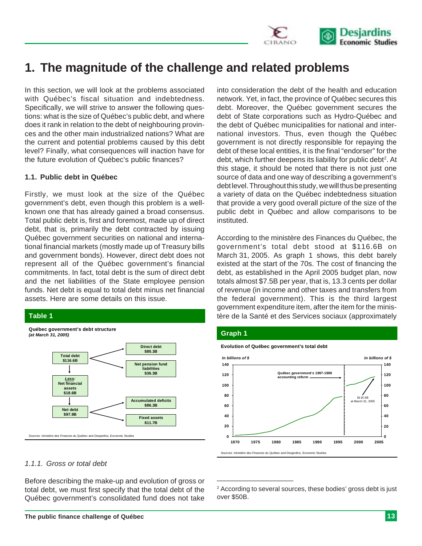

## **1. The magnitude of the challenge and related problems**

In this section, we will look at the problems associated with Québec's fiscal situation and indebtedness. Specifically, we will strive to answer the following questions: what is the size of Québec's public debt, and where does it rank in relation to the debt of neighbouring provinces and the other main industrialized nations? What are the current and potential problems caused by this debt level? Finally, what consequences will inaction have for the future evolution of Québec's public finances?

#### **1.1. Public debt in Québec**

Firstly, we must look at the size of the Québec government's debt, even though this problem is a wellknown one that has already gained a broad consensus. Total public debt is, first and foremost, made up of direct debt, that is, primarily the debt contracted by issuing Québec government securities on national and international financial markets (mostly made up of Treasury bills and government bonds). However, direct debt does not represent all of the Québec government's financial commitments. In fact, total debt is the sum of direct debt and the net liabilities of the State employee pension funds. Net debt is equal to total debt minus net financial assets. Here are some details on this issue.

#### **Table 1**



*1.1.1. Gross or total debt*

Before describing the make-up and evolution of gross or total debt, we must first specify that the total debt of the Québec government's consolidated fund does not take

into consideration the debt of the health and education network. Yet, in fact, the province of Québec secures this debt. Moreover, the Québec government secures the debt of State corporations such as Hydro-Québec and the debt of Québec municipalities for national and international investors. Thus, even though the Québec government is not directly responsible for repaying the debt of these local entities, it is the final "endorser" for the debt, which further deepens its liability for public debt<sup>2</sup>. At this stage, it should be noted that there is not just one source of data and one way of describing a government's debt level. Throughout this study, we will thus be presenting a variety of data on the Québec indebtedness situation that provide a very good overall picture of the size of the public debt in Québec and allow comparisons to be instituted.

According to the ministère des Finances du Québec, the government's total debt stood at \$116.6B on March 31, 2005. As graph 1 shows, this debt barely existed at the start of the 70s. The cost of financing the debt, as established in the April 2005 budget plan, now totals almost \$7.5B per year, that is, 13.3 cents per dollar of revenue (in income and other taxes and transfers from the federal government). This is the third largest government expenditure item, after the item for the ministère de la Santé et des Services sociaux (approximately

#### **Graph 1**

**Evolution of Québec government's total debt 100 120 140** *In billions of \$ In billions of \$* **Québec government's 1997-1998 accounting reform**



Sources: ministère des Finances du Québec and Desjardins, Economic Studies

\_\_\_\_\_\_\_\_\_\_\_\_\_\_\_\_\_\_\_\_

**120 140**

<sup>2</sup> According to several sources, these bodies' gross debt is just over \$50B.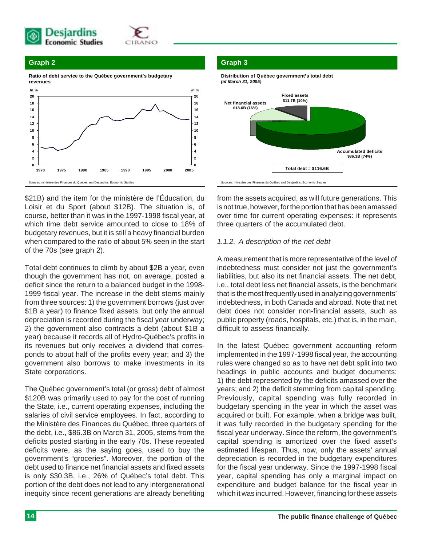



**Ratio of debt service to the Québec government's budgetary revenues**



\$21B) and the item for the ministère de l'Éducation, du Loisir et du Sport (about \$12B). The situation is, of course, better than it was in the 1997-1998 fiscal year, at which time debt service amounted to close to 18% of budgetary revenues, but it is still a heavy financial burden when compared to the ratio of about 5% seen in the start of the 70s (see graph 2).

Total debt continues to climb by about \$2B a year, even though the government has not, on average, posted a deficit since the return to a balanced budget in the 1998- 1999 fiscal year. The increase in the debt stems mainly from three sources: 1) the government borrows (just over \$1B a year) to finance fixed assets, but only the annual depreciation is recorded during the fiscal year underway; 2) the government also contracts a debt (about \$1B a year) because it records all of Hydro-Québec's profits in its revenues but only receives a dividend that corresponds to about half of the profits every year; and 3) the government also borrows to make investments in its State corporations.

The Québec government's total (or gross) debt of almost \$120B was primarily used to pay for the cost of running the State, i.e., current operating expenses, including the salaries of civil service employees. In fact, according to the Ministère des Finances du Québec, three quarters of the debt, i.e., \$86.3B on March 31, 2005, stems from the deficits posted starting in the early 70s. These repeated deficits were, as the saying goes, used to buy the government's "groceries". Moreover, the portion of the debt used to finance net financial assets and fixed assets is only \$30.3B, i.e., 26% of Québec's total debt. This portion of the debt does not lead to any intergenerational inequity since recent generations are already benefiting

#### **Graph 3**



from the assets acquired, as will future generations. This is not true, however, for the portion that has been amassed over time for current operating expenses: it represents three quarters of the accumulated debt.

#### *1.1.2. A description of the net debt*

A measurement that is more representative of the level of indebtedness must consider not just the government's liabilities, but also its net financial assets. The net debt, i.e., total debt less net financial assets, is the benchmark that is the most frequently used in analyzing governments' indebtedness, in both Canada and abroad. Note that net debt does not consider non-financial assets, such as public property (roads, hospitals, etc.) that is, in the main, difficult to assess financially.

In the latest Québec government accounting reform implemented in the 1997-1998 fiscal year, the accounting rules were changed so as to have net debt split into two headings in public accounts and budget documents: 1) the debt represented by the deficits amassed over the years; and 2) the deficit stemming from capital spending. Previously, capital spending was fully recorded in budgetary spending in the year in which the asset was acquired or built. For example, when a bridge was built, it was fully recorded in the budgetary spending for the fiscal year underway. Since the reform, the government's capital spending is amortized over the fixed asset's estimated lifespan. Thus, now, only the assets' annual depreciation is recorded in the budgetary expenditures for the fiscal year underway. Since the 1997-1998 fiscal year, capital spending has only a marginal impact on expenditure and budget balance for the fiscal year in which it was incurred. However, financing for these assets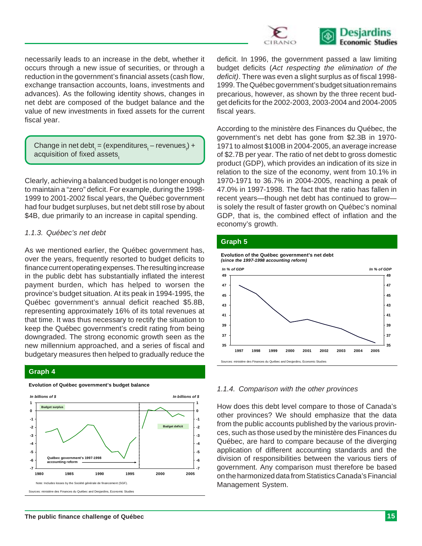

necessarily leads to an increase in the debt, whether it occurs through a new issue of securities, or through a reduction in the government's financial assets (cash flow, exchange transaction accounts, loans, investments and advances). As the following identity shows, changes in net debt are composed of the budget balance and the value of new investments in fixed assets for the current fiscal year.

Change in net debt<sub>t</sub> = (expenditures<sub>t</sub> – revenues<sub>t</sub>) + acquisition of fixed assets.

Clearly, achieving a balanced budget is no longer enough to maintain a "zero" deficit. For example, during the 1998- 1999 to 2001-2002 fiscal years, the Québec government had four budget surpluses, but net debt still rose by about \$4B, due primarily to an increase in capital spending.

#### *1.1.3. Québec's net debt*

As we mentioned earlier, the Québec government has, over the years, frequently resorted to budget deficits to finance current operating expenses. The resulting increase in the public debt has substantially inflated the interest payment burden, which has helped to worsen the province's budget situation. At its peak in 1994-1995, the Québec government's annual deficit reached \$5.8B, representing approximately 16% of its total revenues at that time. It was thus necessary to rectify the situation to keep the Québec government's credit rating from being downgraded. The strong economic growth seen as the new millennium approached, and a series of fiscal and budgetary measures then helped to gradually reduce the

#### **Graph 4**



#### **Evolution of Québec government's budget balance**

deficit. In 1996, the government passed a law limiting budget deficits (*Act respecting the elimination of the deficit)*. There was even a slight surplus as of fiscal 1998- 1999. The Québec government's budget situation remains precarious, however, as shown by the three recent budget deficits for the 2002-2003, 2003-2004 and 2004-2005 fiscal years.

According to the ministère des Finances du Québec, the government's net debt has gone from \$2.3B in 1970- 1971 to almost \$100B in 2004-2005, an average increase of \$2.7B per year. The ratio of net debt to gross domestic product (GDP), which provides an indication of its size in relation to the size of the economy, went from 10.1% in 1970-1971 to 36.7% in 2004-2005, reaching a peak of 47.0% in 1997-1998. The fact that the ratio has fallen in recent years—though net debt has continued to grow is solely the result of faster growth on Québec's nominal GDP, that is, the combined effect of inflation and the economy's growth.

#### **Graph 5**



#### *1.1.4. Comparison with the other provinces*

How does this debt level compare to those of Canada's other provinces? We should emphasize that the data from the public accounts published by the various provinces, such as those used by the ministère des Finances du Québec, are hard to compare because of the diverging application of different accounting standards and the division of responsibilities between the various tiers of government. Any comparison must therefore be based on the harmonized data from Statistics Canada's Financial Management System.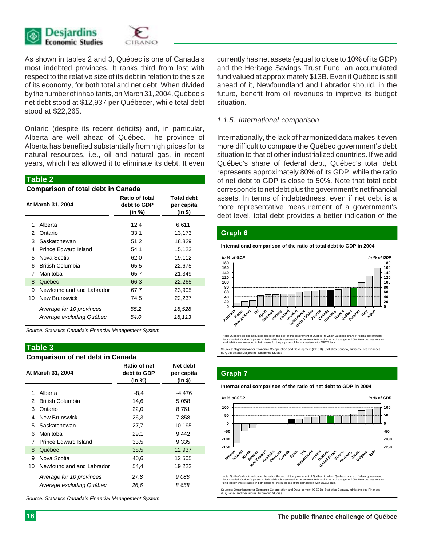

As shown in tables 2 and 3, Québec is one of Canada's most indebted provinces. It ranks third from last with respect to the relative size of its debt in relation to the size of its economy, for both total and net debt. When divided by the number of inhabitants, on March 31, 2004, Québec's net debt stood at \$12,937 per Québecer, while total debt stood at \$22,265.

Ontario (despite its recent deficits) and, in particular, Alberta are well ahead of Québec. The province of Alberta has benefited substantially from high prices for its natural resources, i.e., oil and natural gas, in recent years, which has allowed it to eliminate its debt. It even

|    | <b>Table 2</b>                            |                                         |                                            |  |
|----|-------------------------------------------|-----------------------------------------|--------------------------------------------|--|
|    | <b>Comparison of total debt in Canada</b> |                                         |                                            |  |
|    | At March 31, 2004                         | Ratio of total<br>debt to GDP<br>(in %) | <b>Total debt</b><br>per capita<br>(in \$) |  |
| 1  | Alberta                                   | 12.4                                    | 6,611                                      |  |
| 2  | Ontario                                   | 33.1                                    | 13,173                                     |  |
| 3  | Saskatchewan                              | 51.2                                    | 18,829                                     |  |
| 4  | Prince Edward Island                      | 54.1                                    | 15,123                                     |  |
| 5  | Nova Scotia                               | 62.0                                    | 19,112                                     |  |
| հ  | <b>British Columbia</b>                   | 65.5                                    | 22,675                                     |  |
| 7  | Manitoba                                  | 65.7                                    | 21,349                                     |  |
| 8  | Québec                                    | 66.3                                    | 22,265                                     |  |
| 9  | Newfoundland and Labrador                 | 67.7                                    | 23,905                                     |  |
| 10 | New Brunswick                             | 74.5                                    | 22,237                                     |  |
|    | Average for 10 provinces                  | 55.2                                    | 18,528                                     |  |
|    | Average excluding Québec                  | 54.0                                    | 18,113                                     |  |

*Source: Statistics Canada's Financial Management System*

#### **Table 3**

#### **Comparison of net debt in Canada**

|    | At March 31, 2004         | Ratio of net<br>debt to GDP<br>(in %) | Net debt<br>per capita<br>(in \$) |
|----|---------------------------|---------------------------------------|-----------------------------------|
| 1  | Alberta                   | -8,4                                  | -4 476                            |
| 2  | British Columbia          | 14.6                                  | 5 0 5 8                           |
| 3  | Ontario                   | 22,0                                  | 8 761                             |
| 4  | New Brunswick             | 26,3                                  | 7858                              |
| 5. | Saskatchewan              | 27,7                                  | 10 195                            |
| 6  | Manitoba                  | 29.1                                  | 9442                              |
| 7  | Prince Edward Island      | 33,5                                  | 9 3 3 5                           |
| 8  | Québec                    | 38,5                                  | 12 937                            |
| 9  | Nova Scotia               | 40,6                                  | 12 505                            |
| 10 | Newfoundland and Labrador | 54,4                                  | 19 222                            |
|    | Average for 10 provinces  | 27.8                                  | 9 086                             |
|    | Average excluding Québec  | 26.6                                  | 8 658                             |

*Source: Statistics Canada's Financial Management System*

currently has net assets (equal to close to 10% of its GDP) and the Heritage Savings Trust Fund, an accumulated fund valued at approximately \$13B. Even if Québec is still ahead of it, Newfoundland and Labrador should, in the future, benefit from oil revenues to improve its budget situation.

#### *1.1.5. International comparison*

Internationally, the lack of harmonized data makes it even more difficult to compare the Québec government's debt situation to that of other industrialized countries. If we add Québec's share of federal debt, Québec's total debt represents approximately 80% of its GDP, while the ratio of net debt to GDP is close to 50%. Note that total debt corresponds to net debt plus the government's net financial assets. In terms of indebtedness, even if net debt is a more representative measurement of a government's debt level, total debt provides a better indication of the

#### **Graph 6**

**International comparison of the ratio of total debt to GDP in 2004**



Note: Québec's debt is calculated based on the debt of the government of Québec, to which Québec's share of federal government<br>debt is added. Québec's portion of federal debt is estimated to be between 16% and 24%, with a

ion and Development (OECD), Statistics Canada, ministère des Finances Sources: Organisation for Economic Co-operat<br>du Québec and Desiardins, Economic Studies

#### **Graph 7**

#### **International comparison of the ratio of net debt to GDP in 2004**



Note: Québec's debt is calculated based on the debt of the government of Québec, to which Québec's share of federal government debt is added. Québec's portion of federal debt is estimated to be between 16% and 24%, with a target of 20%. Note that net pension iability was excluded in both cases for the purposes of the comparison with OECD data.

on and Development (OECD), Statistics Canada, min Sources: Organisation for Economic Co-opera<br>du Québec and Desjardins, Economic Studies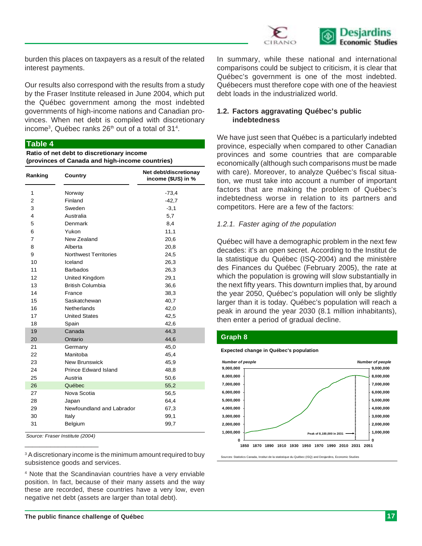

burden this places on taxpayers as a result of the related interest payments.

Our results also correspond with the results from a study by the Fraser Institute released in June 2004, which put the Québec government among the most indebted governments of high-income nations and Canadian provinces. When net debt is compiled with discretionary income<sup>3</sup>, Québec ranks 26<sup>th</sup> out of a total of 31<sup>4</sup>.

#### **Table 4**

**Ratio of net debt to discretionary income (provinces of Canada and high-income countries)**

| Ranking        | Country                      | Net debt/discretionay<br>income (\$US) in % |
|----------------|------------------------------|---------------------------------------------|
| 1              | Norway                       | $-73,4$                                     |
| $\overline{2}$ | Finland                      | $-42,7$                                     |
| 3              | Sweden                       | $-3,1$                                      |
| 4              | Australia                    | 5,7                                         |
| 5              | Denmark                      | 8,4                                         |
| 6              | Yukon                        | 11,1                                        |
| 7              | New Zealand                  | 20,6                                        |
| 8              | Alberta                      | 20,8                                        |
| 9              | <b>Northwest Territories</b> | 24,5                                        |
| 10             | Iceland                      | 26,3                                        |
| 11             | <b>Barbados</b>              | 26,3                                        |
| 12             | United Kingdom               | 29,1                                        |
| 13             | <b>British Columbia</b>      | 36,6                                        |
| 14             | France                       | 38,3                                        |
| 15             | Saskatchewan                 | 40,7                                        |
| 16             | <b>Netherlands</b>           | 42,0                                        |
| 17             | <b>United States</b>         | 42,5                                        |
| 18             | Spain                        | 42,6                                        |
| 19             | Canada                       | 44,3                                        |
| 20             | Ontario                      | 44,6                                        |
| 21             | Germany                      | 45,0                                        |
| 22             | Manitoba                     | 45,4                                        |
| 23             | <b>New Brunswick</b>         | 45,9                                        |
| 24             | Prince Edward Island         | 48,8                                        |
| 25             | Austria                      | 50,6                                        |
| 26             | Québec                       | 55,2                                        |
| 27             | Nova Scotia                  | 56,5                                        |
| 28             | Japan                        | 64,4                                        |
| 29             | Newfoundland and Labrador    | 67,3                                        |
| 30             | Italy                        | 99,1                                        |
| 31             | Belgium                      | 99,7                                        |

\_\_\_\_\_\_\_\_\_\_\_\_\_\_\_\_\_\_\_\_ *Source: Fraser Institute (2004)*

<sup>3</sup> A discretionary income is the minimum amount required to buy subsistence goods and services.

4 Note that the Scandinavian countries have a very enviable position. In fact, because of their many assets and the way these are recorded, these countries have a very low, even negative net debt (assets are larger than total debt).

In summary, while these national and international comparisons could be subject to criticism, it is clear that Québec's government is one of the most indebted. Québecers must therefore cope with one of the heaviest debt loads in the industrialized world.

#### **1.2. Factors aggravating Québec's public indebtedness**

We have just seen that Québec is a particularly indebted province, especially when compared to other Canadian provinces and some countries that are comparable economically (although such comparisons must be made with care). Moreover, to analyze Québec's fiscal situation, we must take into account a number of important factors that are making the problem of Québec's indebtedness worse in relation to its partners and competitors. Here are a few of the factors:

#### *1.2.1. Faster aging of the population*

Québec will have a demographic problem in the next few decades: it's an open secret. According to the Institut de la statistique du Québec (ISQ-2004) and the ministère des Finances du Québec (February 2005), the rate at which the population is growing will slow substantially in the next fifty years. This downturn implies that, by around the year 2050, Québec's population will only be slightly larger than it is today. Québec's population will reach a peak in around the year 2030 (8.1 million inhabitants), then enter a period of gradual decline.

#### **Graph 8**

**Expected change in Québec's population**



.<br>urces: Statistics Canada, Institut de la statistique du Québec (ISQ) and Desjardins, Economic Studies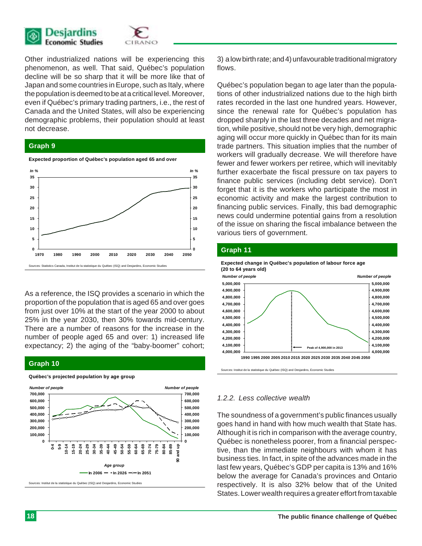



Other industrialized nations will be experiencing this phenomenon, as well. That said, Québec's population decline will be so sharp that it will be more like that of Japan and some countries in Europe, such as Italy, where the population is deemed to be at a critical level. Moreover, even if Québec's primary trading partners, i.e., the rest of Canada and the United States, will also be experiencing demographic problems, their population should at least not decrease.

#### **Graph 9**



As a reference, the ISQ provides a scenario in which the proportion of the population that is aged 65 and over goes from just over 10% at the start of the year 2000 to about 25% in the year 2030, then 30% towards mid-century. There are a number of reasons for the increase in the number of people aged 65 and over: 1) increased life expectancy; 2) the aging of the "baby-boomer" cohort;

#### **Graph 10**



**Québec's projected population by age group**

Sources: Institut de la statistique du Québec (ISQ) and Desjardins, Economic Studies

3) a low birth rate; and 4) unfavourable traditional migratory flows.

Québec's population began to age later than the populations of other industrialized nations due to the high birth rates recorded in the last one hundred years. However, since the renewal rate for Québec's population has dropped sharply in the last three decades and net migration, while positive, should not be very high, demographic aging will occur more quickly in Québec than for its main trade partners. This situation implies that the number of workers will gradually decrease. We will therefore have fewer and fewer workers per retiree, which will inevitably further exacerbate the fiscal pressure on tax payers to finance public services (including debt service). Don't forget that it is the workers who participate the most in economic activity and make the largest contribution to financing public services. Finally, this bad demographic news could undermine potential gains from a resolution of the issue on sharing the fiscal imbalance between the various tiers of government.

#### **Graph 11**



#### *1.2.2. Less collective wealth*

The soundness of a government's public finances usually goes hand in hand with how much wealth that State has. Although it is rich in comparison with the average country, Québec is nonetheless poorer, from a financial perspective, than the immediate neighbours with whom it has business ties. In fact, in spite of the advances made in the last few years, Québec's GDP per capita is 13% and 16% below the average for Canada's provinces and Ontario respectively. It is also 32% below that of the United States. Lower wealth requires a greater effort from taxable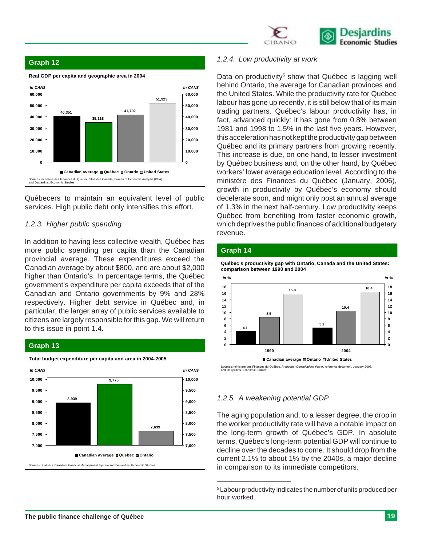

#### **Graph 12**



Québecers to maintain an equivalent level of public services. High public debt only intensifies this effort.

#### *1.2.3. Higher public spending*

In addition to having less collective wealth, Québec has more public spending per capita than the Canadian provincial average. These expenditures exceed the Canadian average by about \$800, and are about \$2,000 higher than Ontario's. In percentage terms, the Québec government's expenditure per capita exceeds that of the Canadian and Ontario governments by 9% and 28% respectively. Higher debt service in Québec and, in particular, the larger array of public services available to citizens are largely responsible for this gap. We will return to this issue in point 1.4.

#### **Graph 13**



**Total budget expenditure per capita and area in 2004-2005**

#### *1.2.4. Low productivity at work*

Data on productivity<sup>5</sup> show that Québec is lagging well behind Ontario, the average for Canadian provinces and the United States. While the productivity rate for Québec labour has gone up recently, it is still below that of its main trading partners. Québec's labour productivity has, in fact, advanced quickly: it has gone from 0.8% between 1981 and 1998 to 1.5% in the last five years. However, this acceleration has not kept the productivity gap between Québec and its primary partners from growing recently. This increase is due, on one hand, to lesser investment by Québec business and, on the other hand, by Québec workers' lower average education level. According to the ministère des Finances du Québec (January, 2006), growth in productivity by Québec's economy should decelerate soon, and might only post an annual average of 1.3% in the next half-century. Low productivity keeps Québec from benefiting from faster economic growth, which deprives the public finances of additional budgetary revenue.

#### **Graph 14**

**Québec's productivity gap with Ontario, Canada and the United States: comparison between 1990 and 2004**



#### *1.2.5. A weakening potential GDP*

\_\_\_\_\_\_\_\_\_\_\_\_\_\_\_\_\_\_\_\_

The aging population and, to a lesser degree, the drop in the worker productivity rate will have a notable impact on the long-term growth of Québec's GDP. In absolute terms, Québec's long-term potential GDP will continue to decline over the decades to come. It should drop from the current 2.1% to about 1% by the 2040s, a major decline in comparison to its immediate competitors.

<sup>5</sup> Labour productivity indicates the number of units produced per hour worked.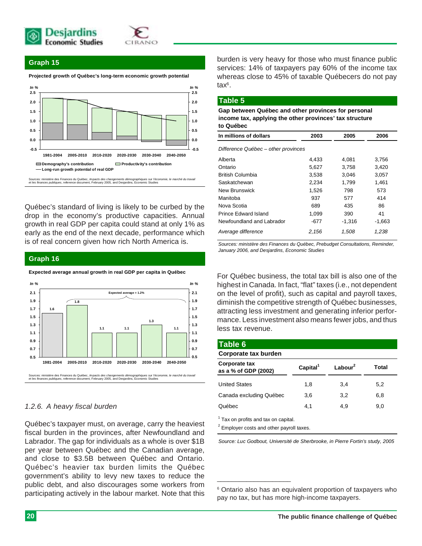



#### **Graph 15**

**Projected growth of Québec's long-term economic growth potential**



Québec's standard of living is likely to be curbed by the drop in the economy's productive capacities. Annual growth in real GDP per capita could stand at only 1% as early as the end of the next decade, performance which is of real concern given how rich North America is.

#### **Graph 16**

**Expected average annual growth in real GDP per capita in Québec**



#### *1.2.6. A heavy fiscal burden*

Québec's taxpayer must, on average, carry the heaviest fiscal burden in the provinces, after Newfoundland and Labrador. The gap for individuals as a whole is over \$1B per year between Québec and the Canadian average, and close to \$3.5B between Québec and Ontario. Québec's heavier tax burden limits the Québec government's ability to levy new taxes to reduce the public debt, and also discourages some workers from participating actively in the labour market. Note that this

burden is very heavy for those who must finance public services: 14% of taxpayers pay 60% of the income tax whereas close to 45% of taxable Québecers do not pay tax6 .

#### **Table 5**

**Gap between Québec and other provinces for personal income tax, applying the other provinces' tax structure to Québec**

| In millions of dollars              | 2003  | 2005     | 2006     |
|-------------------------------------|-------|----------|----------|
| Difference Québec – other provinces |       |          |          |
| Alberta                             | 4,433 | 4,081    | 3,756    |
| Ontario                             | 5,627 | 3,758    | 3,420    |
| British Columbia                    | 3,538 | 3.046    | 3,057    |
| Saskatchewan                        | 2,234 | 1,799    | 1,461    |
| New Brunswick                       | 1,526 | 798      | 573      |
| Manitoba                            | 937   | 577      | 414      |
| Nova Scotia                         | 689   | 435      | 86       |
| <b>Prince Edward Island</b>         | 1,099 | 390      | 41       |
| Newfoundland and Labrador           | -677  | $-1.316$ | $-1,663$ |
| Average difference                  | 2.156 | 1.508    | 1,238    |

*Sources: ministère des Finances du Québec, Prebudget Consultations, Reminder, January 2006, and Desjardins, Economic Studies*

For Québec business, the total tax bill is also one of the highest in Canada. In fact, "flat" taxes (i.e., not dependent on the level of profit), such as capital and payroll taxes, diminish the competitive strength of Québec businesses, attracting less investment and generating inferior performance. Less investment also means fewer jobs, and thus less tax revenue.

| Table 6                                                                                                 |                      |            |       |
|---------------------------------------------------------------------------------------------------------|----------------------|------------|-------|
| Corporate tax burden                                                                                    |                      |            |       |
| Corporate tax<br>as a % of GDP (2002)                                                                   | Capital <sup>1</sup> | Labour $2$ | Total |
| <b>United States</b>                                                                                    | 1,8                  | 3.4        | 5,2   |
| Canada excluding Québec                                                                                 | 3,6                  | 3,2        | 6,8   |
| Québec                                                                                                  | 4.1                  | 4.9        | 9.0   |
| <sup>1</sup> Tax on profits and tax on capital.<br><sup>2</sup> Employer costs and other payroll taxes. |                      |            |       |

*Source: Luc Godbout, Université de Sherbrooke, in Pierre Fortin's study, 2005*

<sup>6</sup> Ontario also has an equivalent proportion of taxpayers who pay no tax, but has more high-income taxpayers.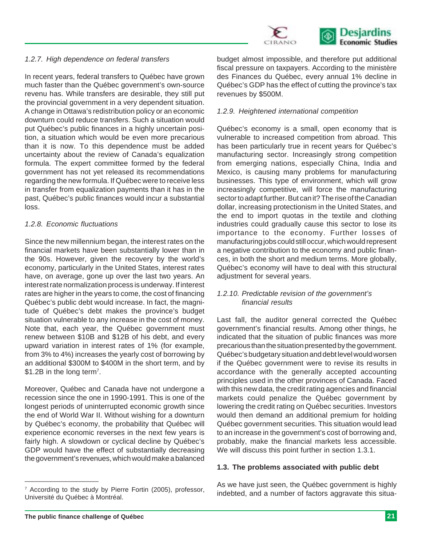

#### *1.2.7. High dependence on federal transfers*

In recent years, federal transfers to Québec have grown much faster than the Québec government's own-source revenu has. While transfers are desirable, they still put the provincial government in a very dependent situation. A change in Ottawa's redistribution policy or an economic downturn could reduce transfers. Such a situation would put Québec's public finances in a highly uncertain position, a situation which would be even more precarious than it is now. To this dependence must be added uncertainty about the review of Canada's equalization formula. The expert committee formed by the federal government has not yet released its recommendations regarding the new formula. If Québec were to receive less in transfer from equalization payments than it has in the past, Québec's public finances would incur a substantial loss.

#### *1.2.8. Economic fluctuations*

Since the new millennium began, the interest rates on the financial markets have been substantially lower than in the 90s. However, given the recovery by the world's economy, particularly in the United States, interest rates have, on average, gone up over the last two years. An interest rate normalization process is underway. If interest rates are higher in the years to come, the cost of financing Québec's public debt would increase. In fact, the magnitude of Québec's debt makes the province's budget situation vulnerable to any increase in the cost of money. Note that, each year, the Québec government must renew between \$10B and \$12B of his debt, and every upward variation in interest rates of 1% (for example, from 3% to 4%) increases the yearly cost of borrowing by an additional \$300M to \$400M in the short term, and by \$1.2B in the long term<sup>7</sup>.

Moreover, Québec and Canada have not undergone a recession since the one in 1990-1991. This is one of the longest periods of uninterrupted economic growth since the end of World War II. Without wishing for a downturn by Québec's economy, the probability that Québec will experience economic reverses in the next few years is fairly high. A slowdown or cyclical decline by Québec's GDP would have the effect of substantially decreasing the government's revenues, which would make a balanced

<sup>7</sup> According to the study by Pierre Fortin (2005), professor, Université du Québec à Montréal.

budget almost impossible, and therefore put additional fiscal pressure on taxpayers. According to the ministère des Finances du Québec, every annual 1% decline in Québec's GDP has the effect of cutting the province's tax revenues by \$500M.

#### *1.2.9. Heightened international competition*

Québec's economy is a small, open economy that is vulnerable to increased competition from abroad. This has been particularly true in recent years for Québec's manufacturing sector. Increasingly strong competition from emerging nations, especially China, India and Mexico, is causing many problems for manufacturing businesses. This type of environment, which will grow increasingly competitive, will force the manufacturing sector to adapt further. But can it? The rise of the Canadian dollar, increasing protectionism in the United States, and the end to import quotas in the textile and clothing industries could gradually cause this sector to lose its importance to the economy. Further losses of manufacturing jobs could still occur, which would represent a negative contribution to the economy and public finances, in both the short and medium terms. More globally, Québec's economy will have to deal with this structural adjustment for several years.

#### *1.2.10. Predictable revision of the government's financial results*

Last fall, the auditor general corrected the Québec government's financial results. Among other things, he indicated that the situation of public finances was more precarious than the situation presented by the government. Québec's budgetary situation and debt level would worsen if the Québec government were to revise its results in accordance with the generally accepted accounting principles used in the other provinces of Canada. Faced with this new data, the credit rating agencies and financial markets could penalize the Québec government by lowering the credit rating on Québec securities. Investors would then demand an additional premium for holding Québec government securities. This situation would lead to an increase in the government's cost of borrowing and, probably, make the financial markets less accessible. We will discuss this point further in section 1.3.1.

#### **1.3. The problems associated with public debt**

As we have just seen, the Québec government is highly indebted, and a number of factors aggravate this situa-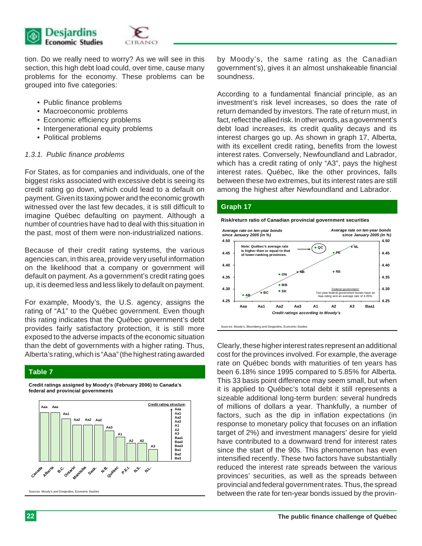

tion. Do we really need to worry? As we will see in this section, this high debt load could, over time, cause many problems for the economy. These problems can be grouped into five categories:

- Public finance problems
- Macroeconomic problems
- Economic efficiency problems
- Intergenerational equity problems
- Political problems

#### *1.3.1. Public finance problems*

For States, as for companies and individuals, one of the biggest risks associated with excessive debt is seeing its credit rating go down, which could lead to a default on payment. Given its taxing power and the economic growth witnessed over the last few decades, it is still difficult to imagine Québec defaulting on payment. Although a number of countries have had to deal with this situation in the past, most of them were non-industrialized nations.

Because of their credit rating systems, the various agencies can, in this area, provide very useful information on the likelihood that a company or government will default on payment. As a government's credit rating goes up, it is deemed less and less likely to default on payment.

For example, Moody's, the U.S. agency, assigns the rating of "A1" to the Québec government. Even though this rating indicates that the Québec government's debt provides fairly satisfactory protection, it is still more exposed to the adverse impacts of the economic situation than the debt of governments with a higher rating. Thus, Alberta's rating, which is "Aaa" (the highest rating awarded

#### **Table 7**





by Moody's, the same rating as the Canadian government's), gives it an almost unshakeable financial soundness.

According to a fundamental financial principle, as an investment's risk level increases, so does the rate of return demanded by investors. The rate of return must, in fact, reflect the allied risk. In other words, as a government's debt load increases, its credit quality decays and its interest charges go up. As shown in graph 17, Alberta, with its excellent credit rating, benefits from the lowest interest rates. Conversely, Newfoundland and Labrador, which has a credit rating of only "A3", pays the highest interest rates. Québec, like the other provinces, falls between these two extremes, but its interest rates are still among the highest after Newfoundland and Labrador.

#### **Graph 17**

**Risk/return ratio of Canadian provincial government securities**



Clearly, these higher interest rates represent an additional cost for the provinces involved. For example, the average rate on Québec bonds with maturities of ten years has been 6.18% since 1995 compared to 5.85% for Alberta. This 33 basis point difference may seem small, but when it is applied to Québec's total debt it still represents a sizeable additional long-term burden: several hundreds of millions of dollars a year. Thankfully, a number of factors, such as the dip in inflation expectations (in response to monetary policy that focuses on an inflation target of 2%) and investment managers' desire for yield have contributed to a downward trend for interest rates since the start of the 90s. This phenomenon has even intensified recently. These two factors have substantially reduced the interest rate spreads between the various provinces' securities, as well as the spreads between provincial and federal government rates. Thus, the spread between the rate for ten-year bonds issued by the provin-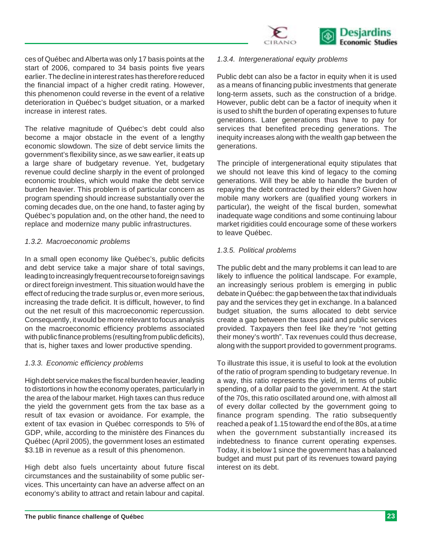

ces of Québec and Alberta was only 17 basis points at the start of 2006, compared to 34 basis points five years earlier. The decline in interest rates has therefore reduced the financial impact of a higher credit rating. However, this phenomenon could reverse in the event of a relative deterioration in Québec's budget situation, or a marked increase in interest rates.

The relative magnitude of Québec's debt could also become a major obstacle in the event of a lengthy economic slowdown. The size of debt service limits the government's flexibility since, as we saw earlier, it eats up a large share of budgetary revenue. Yet, budgetary revenue could decline sharply in the event of prolonged economic troubles, which would make the debt service burden heavier. This problem is of particular concern as program spending should increase substantially over the coming decades due, on the one hand, to faster aging by Québec's population and, on the other hand, the need to replace and modernize many public infrastructures.

#### *1.3.2. Macroeconomic problems*

In a small open economy like Québec's, public deficits and debt service take a major share of total savings, leading to increasingly frequent recourse to foreign savings or direct foreign investment. This situation would have the effect of reducing the trade surplus or, even more serious, increasing the trade deficit. It is difficult, however, to find out the net result of this macroeconomic repercussion. Consequently, it would be more relevant to focus analysis on the macroeconomic efficiency problems associated with public finance problems (resulting from public deficits), that is, higher taxes and lower productive spending.

#### *1.3.3. Economic efficiency problems*

High debt service makes the fiscal burden heavier, leading to distortions in how the economy operates, particularly in the area of the labour market. High taxes can thus reduce the yield the government gets from the tax base as a result of tax evasion or avoidance. For example, the extent of tax evasion in Québec corresponds to 5% of GDP, while, according to the ministère des Finances du Québec (April 2005), the government loses an estimated \$3.1B in revenue as a result of this phenomenon.

High debt also fuels uncertainty about future fiscal circumstances and the sustainability of some public services. This uncertainty can have an adverse affect on an economy's ability to attract and retain labour and capital.

#### *1.3.4. Intergenerational equity problems*

Public debt can also be a factor in equity when it is used as a means of financing public investments that generate long-term assets, such as the construction of a bridge. However, public debt can be a factor of inequity when it is used to shift the burden of operating expenses to future generations. Later generations thus have to pay for services that benefited preceding generations. The inequity increases along with the wealth gap between the generations.

The principle of intergenerational equity stipulates that we should not leave this kind of legacy to the coming generations. Will they be able to handle the burden of repaying the debt contracted by their elders? Given how mobile many workers are (qualified young workers in particular), the weight of the fiscal burden, somewhat inadequate wage conditions and some continuing labour market rigidities could encourage some of these workers to leave Québec.

#### *1.3.5. Political problems*

The public debt and the many problems it can lead to are likely to influence the political landscape. For example, an increasingly serious problem is emerging in public debate in Québec: the gap between the tax that individuals pay and the services they get in exchange. In a balanced budget situation, the sums allocated to debt service create a gap between the taxes paid and public services provided. Taxpayers then feel like they're "not getting their money's worth". Tax revenues could thus decrease, along with the support provided to government programs.

To illustrate this issue, it is useful to look at the evolution of the ratio of program spending to budgetary revenue. In a way, this ratio represents the yield, in terms of public spending, of a dollar paid to the government. At the start of the 70s, this ratio oscillated around one, with almost all of every dollar collected by the government going to finance program spending. The ratio subsequently reached a peak of 1.15 toward the end of the 80s, at a time when the government substantially increased its indebtedness to finance current operating expenses. Today, it is below 1 since the government has a balanced budget and must put part of its revenues toward paying interest on its debt.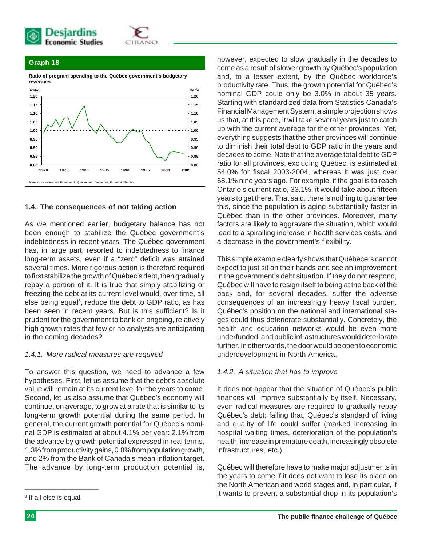



#### **Graph 18**

**Ratio of program spending to the Québec government's budgetary revenues**



#### **1.4. The consequences of not taking action**

As we mentioned earlier, budgetary balance has not been enough to stabilize the Québec government's indebtedness in recent years. The Québec government has, in large part, resorted to indebtedness to finance long-term assets, even if a "zero" deficit was attained several times. More rigorous action is therefore required to first stabilize the growth of Québec's debt, then gradually repay a portion of it. It is true that simply stabilizing or freezing the debt at its current level would, over time, all else being equal<sup>8</sup>, reduce the debt to GDP ratio, as has been seen in recent years. But is this sufficient? Is it prudent for the government to bank on ongoing, relatively high growth rates that few or no analysts are anticipating in the coming decades?

#### *1.4.1. More radical measures are required*

To answer this question, we need to advance a few hypotheses. First, let us assume that the debt's absolute value will remain at its current level for the years to come. Second, let us also assume that Québec's economy will continue, on average, to grow at a rate that is similar to its long-term growth potential during the same period. In general, the current growth potential for Québec's nominal GDP is estimated at about 4.1% per year: 2.1% from the advance by growth potential expressed in real terms, 1.3% from productivity gains, 0.8% from population growth, and 2% from the Bank of Canada's mean inflation target. The advance by long-term production potential is,

\_\_\_\_\_\_\_\_\_\_\_\_\_\_\_\_\_\_\_\_

however, expected to slow gradually in the decades to come as a result of slower growth by Québec's population and, to a lesser extent, by the Québec workforce's productivity rate. Thus, the growth potential for Québec's nominal GDP could only be 3.0% in about 35 years. Starting with standardized data from Statistics Canada's Financial Management System, a simple projection shows us that, at this pace, it will take several years just to catch up with the current average for the other provinces. Yet, everything suggests that the other provinces will continue to diminish their total debt to GDP ratio in the years and decades to come. Note that the average total debt to GDP ratio for all provinces, excluding Québec, is estimated at 54.0% for fiscal 2003-2004, whereas it was just over 68.1% nine years ago. For example, if the goal is to reach Ontario's current ratio, 33.1%, it would take about fifteen years to get there. That said, there is nothing to guarantee this, since the population is aging substantially faster in Québec than in the other provinces. Moreover, many factors are likely to aggravate the situation, which would lead to a spiralling increase in health services costs, and a decrease in the government's flexibility.

This simple example clearly shows that Québecers cannot expect to just sit on their hands and see an improvement in the government's debt situation. If they do not respond, Québec will have to resign itself to being at the back of the pack and, for several decades, suffer the adverse consequences of an increasingly heavy fiscal burden. Québec's position on the national and international stages could thus deteriorate substantially. Concretely, the health and education networks would be even more underfunded, and public infrastructures would deteriorate further. In other words, the door would be open to economic underdevelopment in North America.

#### *1.4.2. A situation that has to improve*

It does not appear that the situation of Québec's public finances will improve substantially by itself. Necessary, even radical measures are required to gradually repay Québec's debt; failing that, Québec's standard of living and quality of life could suffer (marked increasing in hospital waiting times, deterioration of the population's health, increase in premature death, increasingly obsolete infrastructures, etc.).

Québec will therefore have to make major adjustments in the years to come if it does not want to lose its place on the North American and world stages and, in particular, if it wants to prevent a substantial drop in its population's

<sup>&</sup>lt;sup>8</sup> If all else is equal.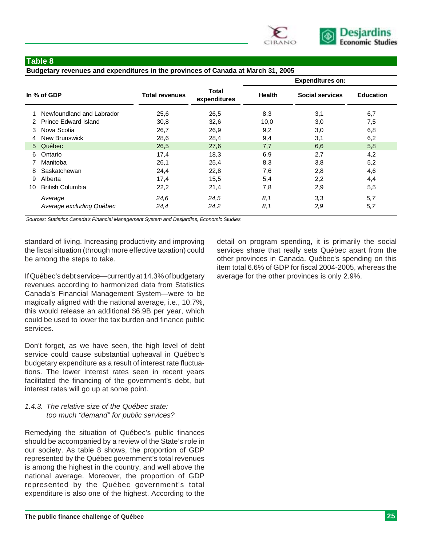

#### **Table 8**

#### **Budgetary revenues and expenditures in the provinces of Canada at March 31, 2005**

|             |                           |                       |                       | <b>Expenditures on:</b> |                        |                  |  |  |
|-------------|---------------------------|-----------------------|-----------------------|-------------------------|------------------------|------------------|--|--|
| In % of GDP |                           | <b>Total revenues</b> | Total<br>expenditures | <b>Health</b>           | <b>Social services</b> | <b>Education</b> |  |  |
|             | Newfoundland and Labrador | 25,6                  | 26,5                  | 8,3                     | 3,1                    | 6,7              |  |  |
|             | 2 Prince Edward Island    | 30,8                  | 32,6                  | 10,0                    | 3,0                    | 7,5              |  |  |
| 3           | Nova Scotia               | 26,7                  | 26,9                  | 9,2                     | 3,0                    | 6,8              |  |  |
| 4           | <b>New Brunswick</b>      | 28,6                  | 28,4                  | 9,4                     | 3,1                    | 6,2              |  |  |
|             | 5 Québec                  | 26,5                  | 27,6                  | 7,7                     | 6,6                    | 5,8              |  |  |
| 6           | Ontario                   | 17,4                  | 18,3                  | 6,9                     | 2,7                    | 4,2              |  |  |
|             | Manitoba                  | 26,1                  | 25,4                  | 8,3                     | 3,8                    | 5,2              |  |  |
| 8           | Saskatchewan              | 24,4                  | 22,8                  | 7,6                     | 2,8                    | 4,6              |  |  |
| 9           | Alberta                   | 17,4                  | 15,5                  | 5,4                     | 2,2                    | 4,4              |  |  |
| 10          | <b>British Columbia</b>   | 22,2                  | 21,4                  | 7,8                     | 2,9                    | 5,5              |  |  |
|             | Average                   | 24.6                  | 24,5                  | 8,1                     | 3,3                    | 5,7              |  |  |
|             | Average excluding Québec  | 24,4                  | 24.2                  | 8,1                     | 2,9                    | 5,7              |  |  |

*Sources: Statistics Canada's Financial Management System and Desjardins, Economic Studies*

standard of living. Increasing productivity and improving the fiscal situation (through more effective taxation) could be among the steps to take.

If Québec's debt service—currently at 14.3% of budgetary revenues according to harmonized data from Statistics Canada's Financial Management System—were to be magically aligned with the national average, i.e., 10.7%, this would release an additional \$6.9B per year, which could be used to lower the tax burden and finance public services.

Don't forget, as we have seen, the high level of debt service could cause substantial upheaval in Québec's budgetary expenditure as a result of interest rate fluctuations. The lower interest rates seen in recent years facilitated the financing of the government's debt, but interest rates will go up at some point.

#### *1.4.3. The relative size of the Québec state: too much "demand" for public services?*

Remedying the situation of Québec's public finances should be accompanied by a review of the State's role in our society. As table 8 shows, the proportion of GDP represented by the Québec government's total revenues is among the highest in the country, and well above the national average. Moreover, the proportion of GDP represented by the Québec government's total expenditure is also one of the highest. According to the

detail on program spending, it is primarily the social services share that really sets Québec apart from the other provinces in Canada. Québec's spending on this item total 6.6% of GDP for fiscal 2004-2005, whereas the average for the other provinces is only 2.9%.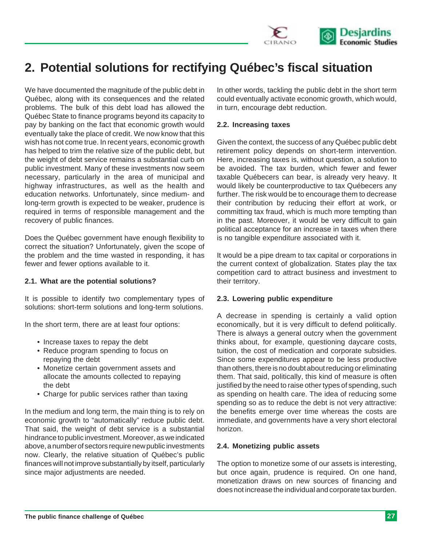

## **2. Potential solutions for rectifying Québec's fiscal situation**

We have documented the magnitude of the public debt in Québec, along with its consequences and the related problems. The bulk of this debt load has allowed the Québec State to finance programs beyond its capacity to pay by banking on the fact that economic growth would eventually take the place of credit. We now know that this wish has not come true. In recent years, economic growth has helped to trim the relative size of the public debt, but the weight of debt service remains a substantial curb on public investment. Many of these investments now seem necessary, particularly in the area of municipal and highway infrastructures, as well as the health and education networks. Unfortunately, since medium- and long-term growth is expected to be weaker, prudence is required in terms of responsible management and the recovery of public finances.

Does the Québec government have enough flexibility to correct the situation? Unfortunately, given the scope of the problem and the time wasted in responding, it has fewer and fewer options available to it.

#### **2.1. What are the potential solutions?**

It is possible to identify two complementary types of solutions: short-term solutions and long-term solutions.

In the short term, there are at least four options:

- Increase taxes to repay the debt
- Reduce program spending to focus on repaying the debt
- Monetize certain government assets and allocate the amounts collected to repaying the debt
- Charge for public services rather than taxing

In the medium and long term, the main thing is to rely on economic growth to "automatically" reduce public debt. That said, the weight of debt service is a substantial hindrance to public investment. Moreover, as we indicated above, a number of sectors require new public investments now. Clearly, the relative situation of Québec's public finances will not improve substantially by itself, particularly since major adjustments are needed.

In other words, tackling the public debt in the short term could eventually activate economic growth, which would, in turn, encourage debt reduction.

#### **2.2. Increasing taxes**

Given the context, the success of any Québec public debt retirement policy depends on short-term intervention. Here, increasing taxes is, without question, a solution to be avoided. The tax burden, which fewer and fewer taxable Québecers can bear, is already very heavy. It would likely be counterproductive to tax Québecers any further. The risk would be to encourage them to decrease their contribution by reducing their effort at work, or committing tax fraud, which is much more tempting than in the past. Moreover, it would be very difficult to gain political acceptance for an increase in taxes when there is no tangible expenditure associated with it.

It would be a pipe dream to tax capital or corporations in the current context of globalization. States play the tax competition card to attract business and investment to their territory.

#### **2.3. Lowering public expenditure**

A decrease in spending is certainly a valid option economically, but it is very difficult to defend politically. There is always a general outcry when the government thinks about, for example, questioning daycare costs, tuition, the cost of medication and corporate subsidies. Since some expenditures appear to be less productive than others, there is no doubt about reducing or eliminating them. That said, politically, this kind of measure is often justified by the need to raise other types of spending, such as spending on health care. The idea of reducing some spending so as to reduce the debt is not very attractive: the benefits emerge over time whereas the costs are immediate, and governments have a very short electoral horizon.

#### **2.4. Monetizing public assets**

The option to monetize some of our assets is interesting, but once again, prudence is required. On one hand, monetization draws on new sources of financing and does not increase the individual and corporate tax burden.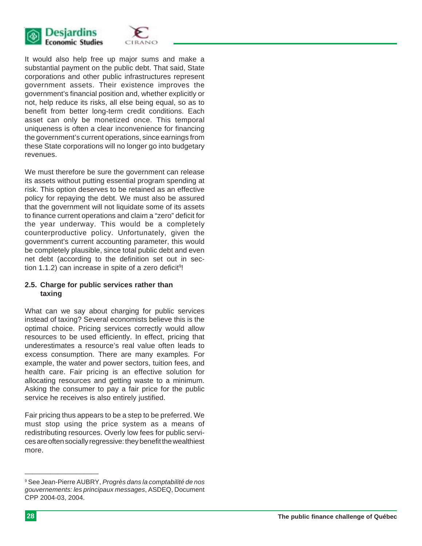

It would also help free up major sums and make a substantial payment on the public debt. That said, State corporations and other public infrastructures represent government assets. Their existence improves the government's financial position and, whether explicitly or not, help reduce its risks, all else being equal, so as to benefit from better long-term credit conditions. Each asset can only be monetized once. This temporal uniqueness is often a clear inconvenience for financing the government's current operations, since earnings from these State corporations will no longer go into budgetary revenues.

We must therefore be sure the government can release its assets without putting essential program spending at risk. This option deserves to be retained as an effective policy for repaying the debt. We must also be assured that the government will not liquidate some of its assets to finance current operations and claim a "zero" deficit for the year underway. This would be a completely counterproductive policy. Unfortunately, given the government's current accounting parameter, this would be completely plausible, since total public debt and even net debt (according to the definition set out in section 1.1.2) can increase in spite of a zero deficit<sup>9</sup>!

#### **2.5. Charge for public services rather than taxing**

What can we say about charging for public services instead of taxing? Several economists believe this is the optimal choice. Pricing services correctly would allow resources to be used efficiently. In effect, pricing that underestimates a resource's real value often leads to excess consumption. There are many examples. For example, the water and power sectors, tuition fees, and health care. Fair pricing is an effective solution for allocating resources and getting waste to a minimum. Asking the consumer to pay a fair price for the public service he receives is also entirely justified.

Fair pricing thus appears to be a step to be preferred. We must stop using the price system as a means of redistributing resources. Overly low fees for public services are often socially regressive: they benefit the wealthiest more.

<sup>9</sup> See Jean-Pierre AUBRY, *Progrès dans la comptabilité de nos gouvernements: les principaux messages*, ASDEQ, Document CPP 2004-03, 2004.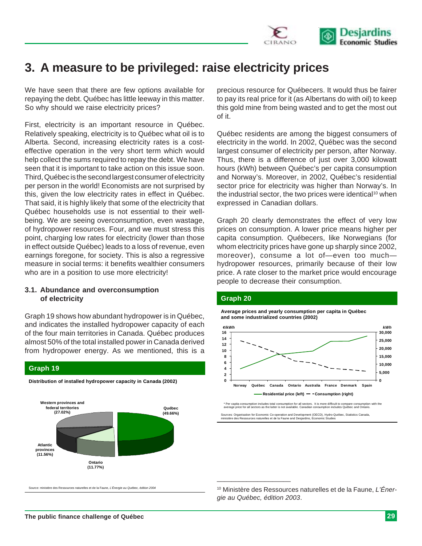

## **3. A measure to be privileged: raise electricity prices**

We have seen that there are few options available for repaying the debt. Québec has little leeway in this matter. So why should we raise electricity prices?

First, electricity is an important resource in Québec. Relatively speaking, electricity is to Québec what oil is to Alberta. Second, increasing electricity rates is a costeffective operation in the very short term which would help collect the sums required to repay the debt. We have seen that it is important to take action on this issue soon. Third, Québec is the second largest consumer of electricity per person in the world! Economists are not surprised by this, given the low electricity rates in effect in Québec. That said, it is highly likely that some of the electricity that Québec households use is not essential to their wellbeing. We are seeing overconsumption, even wastage, of hydropower resources. Four, and we must stress this point, charging low rates for electricity (lower than those in effect outside Québec) leads to a loss of revenue, even earnings foregone, for society. This is also a regressive measure in social terms: it benefits wealthier consumers who are in a position to use more electricity!

#### **3.1. Abundance and overconsumption of electricity**

**Graph 19**

Graph 19 shows how abundant hydropower is in Québec, and indicates the installed hydropower capacity of each of the four main territories in Canada. Québec produces almost 50% of the total installed power in Canada derived from hydropower energy. As we mentioned, this is a



**Distribution of installed hydropower capacity in Canada (2002)**

stère des Ressources naturelles et de la Faune, *L'Énergie au Québec, édition 2004* 

precious resource for Québecers. It would thus be fairer to pay its real price for it (as Albertans do with oil) to keep this gold mine from being wasted and to get the most out of it.

Québec residents are among the biggest consumers of electricity in the world. In 2002, Québec was the second largest consumer of electricity per person, after Norway. Thus, there is a difference of just over 3,000 kilowatt hours (kWh) between Québec's per capita consumption and Norway's. Moreover, in 2002, Québec's residential sector price for electricity was higher than Norway's. In the industrial sector, the two prices were identical<sup>10</sup> when expressed in Canadian dollars.

Graph 20 clearly demonstrates the effect of very low prices on consumption. A lower price means higher per capita consumption. Québecers, like Norwegians (for whom electricity prices have gone up sharply since 2002, moreover), consume a lot of—even too much hydropower resources, primarily because of their low price. A rate closer to the market price would encourage people to decrease their consumption.

#### **Graph 20**

\_\_\_\_\_\_\_\_\_\_\_\_\_\_\_\_\_\_\_\_

**Average prices and yearly consumption per capita in Québec and some industrialized countries (2002)**



Sources: Organisation for Economic Co-operation and Development (OECD), Hydro-Québec, Statistics Canada,<br>ministère des Ressources naturelles et de la Faune and Desjardins, Economic Studies

<sup>10</sup> Ministère des Ressources naturelles et de la Faune, *L'Énergie au Québec, édition 2003*.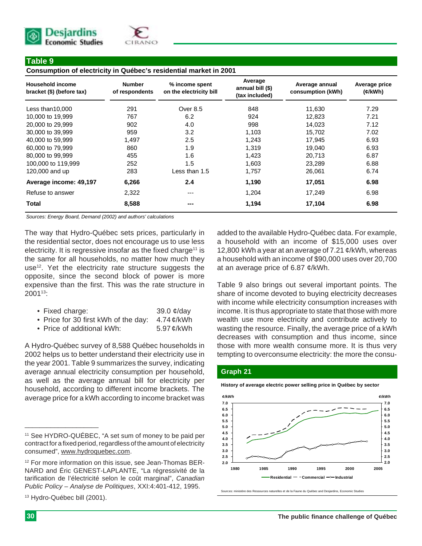



#### **Table 9**

**Consumption of electricity in Québec's residential market in 2001**

| <b>Household income</b><br>bracket (\$) (before tax) | <b>Number</b><br>of respondents | % income spent<br>on the electricity bill | Average<br>annual bill (\$)<br>(tax included) | Average annual<br>consumption (kWh) | Average price<br>( <i>tkWh</i> ) |  |
|------------------------------------------------------|---------------------------------|-------------------------------------------|-----------------------------------------------|-------------------------------------|----------------------------------|--|
| Less than10,000                                      | 291                             | Over 8.5                                  | 848                                           | 11,630                              | 7.29                             |  |
| 10,000 to 19,999                                     | 767                             | 6.2                                       | 924                                           | 12,823                              | 7.21                             |  |
| 20,000 to 29,999                                     | 902                             | 4.0                                       | 998                                           | 14,023                              | 7.12                             |  |
| 30,000 to 39,999                                     | 959                             | 3.2                                       | 1,103                                         | 15,702                              | 7.02                             |  |
| 40,000 to 59,999                                     | 1,497                           | 2.5                                       | 1,243                                         | 17,945                              | 6.93                             |  |
| 60,000 to 79,999                                     | 860                             | 1.9                                       | 1,319                                         | 19,040                              | 6.93                             |  |
| 80,000 to 99,999                                     | 455                             | 1.6                                       | 1,423                                         | 20,713                              | 6.87                             |  |
| 100,000 to 119,999                                   | 252                             | 1.5                                       | 1,603                                         | 23,289                              | 6.88                             |  |
| 120,000 and up                                       | 283                             | Less than 1.5                             | 1,757                                         | 26,061                              | 6.74                             |  |
| Average income: 49,197                               | 6,266                           | 2.4                                       | 1,190                                         | 17,051                              | 6.98                             |  |
| Refuse to answer                                     | 2,322                           | ---                                       | 1,204                                         | 17,249                              | 6.98                             |  |
| Total                                                | 8,588                           | ---                                       | 1,194                                         | 17,104                              | 6.98                             |  |

*Sources: Energy Board, Demand (2002) and authors' calculations*

The way that Hydro-Québec sets prices, particularly in the residential sector, does not encourage us to use less electricity. It is regressive insofar as the fixed charge<sup>11</sup> is the same for all households, no matter how much they use<sup>12</sup>. Yet the electricity rate structure suggests the opposite, since the second block of power is more expensive than the first. This was the rate structure in  $2001^{13}$ :

|  |  | • Fixed charge: | 39.0 $\phi$ /day |
|--|--|-----------------|------------------|
|--|--|-----------------|------------------|

|  | • Price for 30 first kWh of the day: |  |  |  |  |  | $4.74$ ¢/kWh |
|--|--------------------------------------|--|--|--|--|--|--------------|
|--|--------------------------------------|--|--|--|--|--|--------------|

• Price of additional kWh: 5.97 ¢/kWh

A Hydro-Québec survey of 8,588 Québec households in 2002 helps us to better understand their electricity use in the year 2001. Table 9 summarizes the survey, indicating average annual electricity consumption per household, as well as the average annual bill for electricity per household, according to different income brackets. The average price for a kWh according to income bracket was

\_\_\_\_\_\_\_\_\_\_\_\_\_\_\_\_\_\_\_\_

added to the available Hydro-Québec data. For example, a household with an income of \$15,000 uses over 12,800 kWh a year at an average of 7.21 ¢/kWh, whereas a household with an income of \$90,000 uses over 20,700 at an average price of 6.87 ¢/kWh.

Table 9 also brings out several important points. The share of income devoted to buying electricity decreases with income while electricity consumption increases with income. It is thus appropriate to state that those with more wealth use more electricity and contribute actively to wasting the resource. Finally, the average price of a kWh decreases with consumption and thus income, since those with more wealth consume more. It is thus very tempting to overconsume electricity: the more the consu-

#### **Graph 21**

**History of average electric power selling price in Québec by sector**



Sources: ministère des Ressources naturelles et de la Faune du Québec and Desjardins, Economic Studies

<sup>11</sup> See HYDRO-QUÉBEC, "A set sum of money to be paid per contract for a fixed period, regardless of the amount of electricity consumed", www.hydroquebec.com.

<sup>&</sup>lt;sup>12</sup> For more information on this issue, see Jean-Thomas BER-NARD and Éric GENEST-LAPLANTE, "La régressivité de la tarification de l'électricité selon le coût marginal", *Canadian Public Policy – Analyse de Politiques*, XXI:4:401-412, 1995.

<sup>13</sup> Hydro-Québec bill (2001).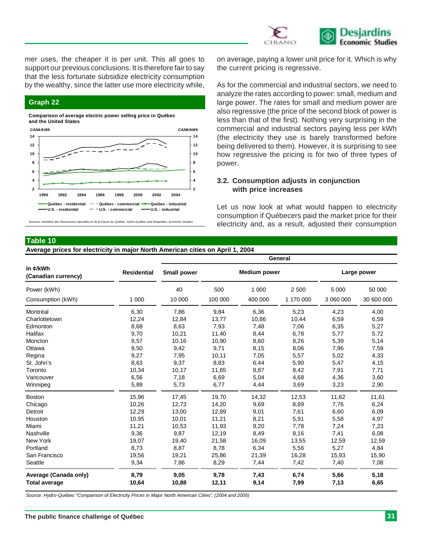

mer uses, the cheaper it is per unit. This all goes to support our previous conclusions. It is therefore fair to say that the less fortunate subsidize electricity consumption by the wealthy, since the latter use more electricity while,

#### **Graph 22**

**Comparison of average electric power selling price in Québec and the United States**



Sources: ministère des Ressources naturelles et de la Faune du Québec, Hydro-Québec and Desjardins, Economic Studies

on average, paying a lower unit price for it. Which is why the current pricing is regressive.

As for the commercial and industrial sectors, we need to analyze the rates according to power: small, medium and large power. The rates for small and medium power are also regressive (the price of the second block of power is less than that of the first). Nothing very surprising in the commercial and industrial sectors paying less per kWh (the electricity they use is barely transformed before being delivered to them). However, it is surprising to see how regressive the pricing is for two of three types of power.

#### **3.2. Consumption adjusts in conjunction with price increases**

Let us now look at what would happen to electricity consumption if Québecers paid the market price for their electricity and, as a result, adjusted their consumption

#### **Table 10**

#### **Average prices for electricity in major North American cities on April 1, 2004**

| General            |         |                     |             |           |              |  |  |
|--------------------|---------|---------------------|-------------|-----------|--------------|--|--|
| <b>Small power</b> |         | <b>Medium power</b> | Large power |           |              |  |  |
| 40                 | 500     | 1 0 0 0             | 2 500       | 5 0 0 0   | 50 000       |  |  |
| 10 000             | 100 000 | 400 000             | 1 170 000   | 3 060 000 | 30 600 000   |  |  |
| 7,86               | 9,84    | 6,36                | 5,23        | 4,23      | 4,00         |  |  |
| 12,84              | 13,77   | 10,86               | 10,44       | 6,59      | 6,59         |  |  |
| 8,63               | 7,93    | 7,48                | 7,06        | 6,35      | 5,27         |  |  |
| 10,21              | 11,40   | 8,44                | 6,78        | 5,77      | 5,72         |  |  |
| 10,16              | 10,90   | 8,60                | 8,26        | 5,39      | 5,14         |  |  |
| 9,42               | 9,71    | 8,15                | 8,06        | 7,96      | 7,59         |  |  |
| 7,95               | 10,11   | 7,05                | 5,57        | 5,02      | 4,33         |  |  |
| 9,37               | 8,83    | 6,44                | 5,90        | 5,47      | 4,15         |  |  |
| 10,17              | 11,65   | 8,87                | 8,42        | 7,91      | 7,71         |  |  |
| 7,18               | 6,69    | 5,04                | 4,68        | 4,36      | 3,60         |  |  |
| 5,73               | 6,77    | 4,44                | 3,69        | 3,23      | 2,90         |  |  |
| 17,45              | 19,70   | 14,32               | 12,53       | 11,62     | 11,61        |  |  |
| 12,73              | 14,20   | 9,69                | 8,89        | 7,76      | 6,24         |  |  |
| 13,00              | 12,89   | 9,01                | 7,61        | 6,60      | 6,09         |  |  |
| 10,01              | 11,21   | 8,21                | 5,91        | 5,58      | 4,97         |  |  |
| 10,53              | 11,93   | 9,20                | 7,78        | 7,24      | 7,23         |  |  |
| 9,87               | 12,19   | 8,49                | 8,16        | 7,41      | 6,08         |  |  |
| 19,40              | 21,58   | 16,09               | 13,55       | 12,59     | 12,59        |  |  |
| 8,87               | 8,78    | 6,34                | 5,56        | 5,27      | 4,84         |  |  |
| 19,21              | 25,86   | 21,39               | 16,28       | 15,93     | 15,90        |  |  |
| 7,86               | 8,29    | 7,44                | 7,42        | 7,40      | 7,08         |  |  |
| 9,05               | 9,78    | 7,43                | 6,74        | 5,66      | 5,18<br>6,65 |  |  |
|                    | 10,88   | 12,11               | 9,14        | 7,99      | 7,13         |  |  |

*Source: Hydro-Québec "Comparison of Electricity Prices in Major North American Cities", (2004 and 2005)*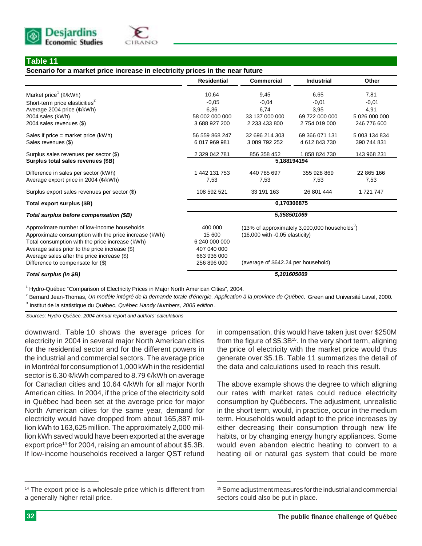



#### **Table 11**

#### **Scenario for a market price increase in electricity prices in the near future**

|                                                                                         | <b>Residential</b> | Commercial                         | <b>Industrial</b>                                         | Other         |  |  |  |  |
|-----------------------------------------------------------------------------------------|--------------------|------------------------------------|-----------------------------------------------------------|---------------|--|--|--|--|
| Market price <sup>1</sup> ( $\mathcal{C}/kWh$ )                                         | 10,64              | 9,45                               | 6,65                                                      | 7,81          |  |  |  |  |
| Short-term price elasticities <sup>2</sup>                                              | $-0.05$            | $-0.04$                            | $-0.01$                                                   | $-0,01$       |  |  |  |  |
| Average 2004 price $(\phi/\text{kWh})$                                                  | 6.36               | 6.74                               | 3.95                                                      | 4.91          |  |  |  |  |
| 2004 sales (kWh)                                                                        | 58 002 000 000     | 33 137 000 000                     | 69 722 000 000                                            | 5 026 000 000 |  |  |  |  |
| 2004 sales revenues (\$)                                                                | 3688927200         | 2 233 433 800                      | 2754019000                                                | 246 776 600   |  |  |  |  |
| Sales if price = market price (kWh)                                                     | 56 559 868 247     | 32 696 214 303                     | 69 366 071 131                                            | 5 003 134 834 |  |  |  |  |
| Sales revenues (\$)                                                                     | 6 017 969 981      | 3 089 792 252                      | 4612843730                                                | 390 744 831   |  |  |  |  |
| Surplus sales revenues per sector (\$)                                                  | 2 329 042 781      | 856 358 452                        | 1858824730                                                | 143 968 231   |  |  |  |  |
| Surplus total sales revenues (\$B)                                                      | 5,188194194        |                                    |                                                           |               |  |  |  |  |
| Difference in sales per sector (kWh)                                                    | 1 442 131 753      | 440 785 697                        | 355 928 869                                               | 22 865 166    |  |  |  |  |
| Average export price in 2004 (¢/kWh)                                                    | 7,53               | 7,53                               | 7,53                                                      | 7,53          |  |  |  |  |
| Surplus export sales revenues per sector (\$)                                           | 108 592 521        | 33 191 163                         | 26 801 444                                                | 1721747       |  |  |  |  |
| Total export surplus (\$B)                                                              | 0,170306875        |                                    |                                                           |               |  |  |  |  |
| Total surplus before compensation (\$B)                                                 | 5,358501069        |                                    |                                                           |               |  |  |  |  |
| Approximate number of low-income households                                             | 400 000            |                                    | (13% of approximately 3,000,000 households <sup>3</sup> ) |               |  |  |  |  |
| Approximate consumption with the price increase (kWh)                                   | 15 600             | $(16,000$ with $-0.05$ elasticity) |                                                           |               |  |  |  |  |
| Total consumption with the price increase (kWh)                                         | 6 240 000 000      |                                    |                                                           |               |  |  |  |  |
| Average sales prior to the price increase (\$)                                          | 407 040 000        |                                    |                                                           |               |  |  |  |  |
| Average sales after the price increase (\$)                                             | 663 936 000        |                                    |                                                           |               |  |  |  |  |
| Difference to compensate for (\$)<br>256 896 000<br>(average of \$642.24 per household) |                    |                                    |                                                           |               |  |  |  |  |
| Total surplus (in \$B)                                                                  |                    |                                    | 5,101605069                                               |               |  |  |  |  |
|                                                                                         |                    |                                    |                                                           |               |  |  |  |  |

<sup>1</sup> Hydro-Québec "Comparison of Electricity Prices in Major North American Cities", 2004.

2 Bernard Jean-Thomas, *Un modèle intégré de la demande totale d'énergie. Application à la province de Québec,* Green and Université Laval, 2000.

3 Institut de la statistique du Québec, *Québec Handy Numbers, 2005 edition* .

*Sources: Hydro-Québec, 2004 annual report and authors' calculations*

downward. Table 10 shows the average prices for electricity in 2004 in several major North American cities for the residential sector and for the different powers in the industrial and commercial sectors. The average price in Montréal for consumption of 1,000 kWh in the residential sector is 6.30 ¢/kWh compared to 8.79 ¢/kWh on average for Canadian cities and 10.64 ¢/kWh for all major North American cities. In 2004, if the price of the electricity sold in Québec had been set at the average price for major North American cities for the same year, demand for electricity would have dropped from about 165,887 million kWh to 163,625 million. The approximately 2,000 million kWh saved would have been exported at the average export price<sup>14</sup> for 2004, raising an amount of about \$5.3B. If low-income households received a larger QST refund

<sup>14</sup> The export price is a wholesale price which is different from a generally higher retail price.

in compensation, this would have taken just over \$250M from the figure of \$5.3B<sup>15</sup>. In the very short term, aligning the price of electricity with the market price would thus generate over \$5.1B. Table 11 summarizes the detail of the data and calculations used to reach this result.

The above example shows the degree to which aligning our rates with market rates could reduce electricity consumption by Québecers. The adjustment, unrealistic in the short term, would, in practice, occur in the medium term. Households would adapt to the price increases by either decreasing their consumption through new life habits, or by changing energy hungry appliances. Some would even abandon electric heating to convert to a heating oil or natural gas system that could be more

\_\_\_\_\_\_\_\_\_\_\_\_\_\_\_\_\_\_\_\_

<sup>&</sup>lt;sup>15</sup> Some adjustment measures for the industrial and commercial sectors could also be put in place.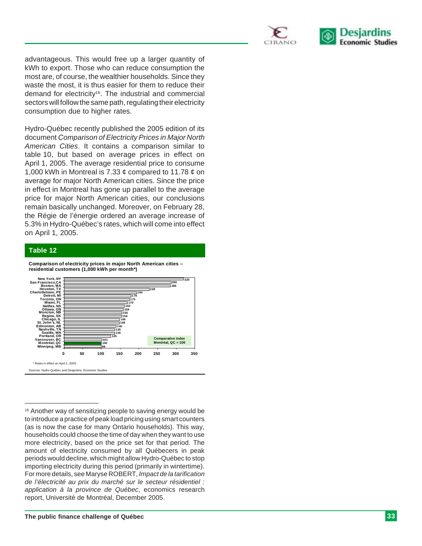



advantageous. This would free up a larger quantity of kWh to export. Those who can reduce consumption the most are, of course, the wealthier households. Since they waste the most, it is thus easier for them to reduce their demand for electricity<sup>16</sup>. The industrial and commercial sectors will follow the same path, regulating their electricity consumption due to higher rates.

Hydro-Québec recently published the 2005 edition of its document *Comparison of Electricity Prices in Major North American Cities*. It contains a comparison similar to table 10, but based on average prices in effect on April 1, 2005. The average residential price to consume 1,000 kWh in Montreal is 7.33  $\phi$  compared to 11.78  $\phi$  on average for major North American cities. Since the price in effect in Montreal has gone up parallel to the average price for major North American cities, our conclusions remain basically unchanged. Moreover, on February 28, the Régie de l'énergie ordered an average increase of 5.3% in Hydro-Québec's rates, which will come into effect on April 1, 2005.

#### **Table 12**



**Comparison of electricity prices in major North American cities –**

<sup>&</sup>lt;sup>16</sup> Another way of sensitizing people to saving energy would be to introduce a practice of peak load pricing using smart counters (as is now the case for many Ontario households). This way, households could choose the time of day when they want to use more electricity, based on the price set for that period. The amount of electricity consumed by all Québecers in peak periods would decline, which might allow Hydro-Québec to stop importing electricity during this period (primarily in wintertime). For more details, see Maryse ROBERT, *Impact de la tarification de l'électricité au prix du marché sur le secteur résidentiel : application à la province de Québec*, economics research report, Université de Montréal, December 2005.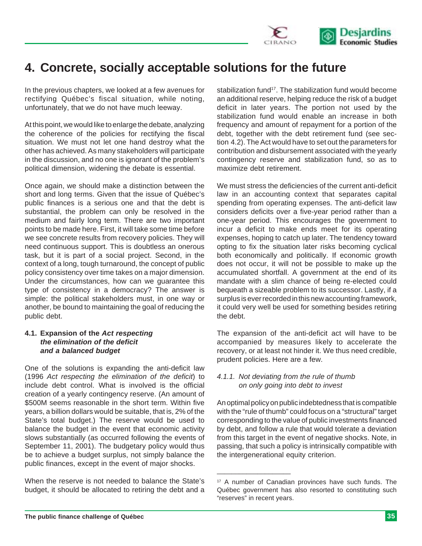

## **4. Concrete, socially acceptable solutions for the future**

In the previous chapters, we looked at a few avenues for rectifying Québec's fiscal situation, while noting, unfortunately, that we do not have much leeway.

At this point, we would like to enlarge the debate, analyzing the coherence of the policies for rectifying the fiscal situation. We must not let one hand destroy what the other has achieved. As many stakeholders will participate in the discussion, and no one is ignorant of the problem's political dimension, widening the debate is essential.

Once again, we should make a distinction between the short and long terms. Given that the issue of Québec's public finances is a serious one and that the debt is substantial, the problem can only be resolved in the medium and fairly long term. There are two important points to be made here. First, it will take some time before we see concrete results from recovery policies. They will need continuous support. This is doubtless an onerous task, but it is part of a social project. Second, in the context of a long, tough turnaround, the concept of public policy consistency over time takes on a major dimension. Under the circumstances, how can we guarantee this type of consistency in a democracy? The answer is simple: the political stakeholders must, in one way or another, be bound to maintaining the goal of reducing the public debt.

#### **4.1. Expansion of the** *Act respecting the elimination of the deficit and a balanced budget*

One of the solutions is expanding the anti-deficit law (1996 *Act respecting the elimination of the deficit*) to include debt control. What is involved is the official creation of a yearly contingency reserve. (An amount of \$500M seems reasonable in the short term. Within five years, a billion dollars would be suitable, that is, 2% of the State's total budget.) The reserve would be used to balance the budget in the event that economic activity slows substantially (as occurred following the events of September 11, 2001). The budgetary policy would thus be to achieve a budget surplus, not simply balance the public finances, except in the event of major shocks.

When the reserve is not needed to balance the State's budget, it should be allocated to retiring the debt and a stabilization fund<sup>17</sup>. The stabilization fund would become an additional reserve, helping reduce the risk of a budget deficit in later years. The portion not used by the stabilization fund would enable an increase in both frequency and amount of repayment for a portion of the debt, together with the debt retirement fund (see section 4.2). The Act would have to set out the parameters for contribution and disbursement associated with the yearly contingency reserve and stabilization fund, so as to maximize debt retirement.

We must stress the deficiencies of the current anti-deficit law in an accounting context that separates capital spending from operating expenses. The anti-deficit law considers deficits over a five-year period rather than a one-year period. This encourages the government to incur a deficit to make ends meet for its operating expenses, hoping to catch up later. The tendency toward opting to fix the situation later risks becoming cyclical both economically and politically. If economic growth does not occur, it will not be possible to make up the accumulated shortfall. A government at the end of its mandate with a slim chance of being re-elected could bequeath a sizeable problem to its successor. Lastly, if a surplus is ever recorded in this new accounting framework, it could very well be used for something besides retiring the debt.

The expansion of the anti-deficit act will have to be accompanied by measures likely to accelerate the recovery, or at least not hinder it. We thus need credible, prudent policies. Here are a few.

#### *4.1.1. Not deviating from the rule of thumb on only going into debt to invest*

\_\_\_\_\_\_\_\_\_\_\_\_\_\_\_\_\_\_\_\_

An optimal policy on public indebtedness that is compatible with the "rule of thumb" could focus on a "structural" target corresponding to the value of public investments financed by debt, and follow a rule that would tolerate a deviation from this target in the event of negative shocks. Note, in passing, that such a policy is intrinsically compatible with the intergenerational equity criterion.

<sup>17</sup> A number of Canadian provinces have such funds. The Québec government has also resorted to constituting such "reserves" in recent years.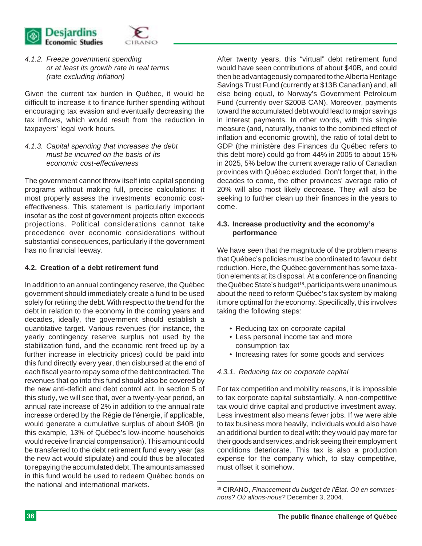

*4.1.2. Freeze government spending or at least its growth rate in real terms (rate excluding inflation)*

Given the current tax burden in Québec, it would be difficult to increase it to finance further spending without encouraging tax evasion and eventually decreasing the tax inflows, which would result from the reduction in taxpayers' legal work hours.

*4.1.3. Capital spending that increases the debt must be incurred on the basis of its economic cost-effectiveness*

The government cannot throw itself into capital spending programs without making full, precise calculations: it most properly assess the investments' economic costeffectiveness. This statement is particularly important insofar as the cost of government projects often exceeds projections. Political considerations cannot take precedence over economic considerations without substantial consequences, particularly if the government has no financial leeway.

#### **4.2. Creation of a debt retirement fund**

In addition to an annual contingency reserve, the Québec government should immediately create a fund to be used solely for retiring the debt. With respect to the trend for the debt in relation to the economy in the coming years and decades, ideally, the government should establish a quantitative target. Various revenues (for instance, the yearly contingency reserve surplus not used by the stabilization fund, and the economic rent freed up by a further increase in electricity prices) could be paid into this fund directly every year, then disbursed at the end of each fiscal year to repay some of the debt contracted. The revenues that go into this fund should also be covered by the new anti-deficit and debt control act. In section 5 of this study, we will see that, over a twenty-year period, an annual rate increase of 2% in addition to the annual rate increase ordered by the Régie de l'énergie, if applicable, would generate a cumulative surplus of about \$40B (in this example, 13% of Québec's low-income households would receive financial compensation). This amount could be transferred to the debt retirement fund every year (as the new act would stipulate) and could thus be allocated to repaying the accumulated debt. The amounts amassed in this fund would be used to redeem Québec bonds on the national and international markets.

After twenty years, this "virtual" debt retirement fund would have seen contributions of about \$40B, and could then be advantageously compared to the Alberta Heritage Savings Trust Fund (currently at \$13B Canadian) and, all else being equal, to Norway's Government Petroleum Fund (currently over \$200B CAN). Moreover, payments toward the accumulated debt would lead to major savings in interest payments. In other words, with this simple measure (and, naturally, thanks to the combined effect of inflation and economic growth), the ratio of total debt to GDP (the ministère des Finances du Québec refers to this debt more) could go from 44% in 2005 to about 15% in 2025, 5% below the current average ratio of Canadian provinces with Québec excluded. Don't forget that, in the decades to come, the other provinces' average ratio of 20% will also most likely decrease. They will also be seeking to further clean up their finances in the years to come.

#### **4.3. Increase productivity and the economy's performance**

We have seen that the magnitude of the problem means that Québec's policies must be coordinated to favour debt reduction. Here, the Québec government has some taxation elements at its disposal. At a conference on financing the Québec State's budget<sup>18</sup>, participants were unanimous about the need to reform Québec's tax system by making it more optimal for the economy. Specifically, this involves taking the following steps:

- Reducing tax on corporate capital
- Less personal income tax and more consumption tax
- Increasing rates for some goods and services

#### *4.3.1. Reducing tax on corporate capital*

\_\_\_\_\_\_\_\_\_\_\_\_\_\_\_\_\_\_\_\_

For tax competition and mobility reasons, it is impossible to tax corporate capital substantially. A non-competitive tax would drive capital and productive investment away. Less investment also means fewer jobs. If we were able to tax business more heavily, individuals would also have an additional burden to deal with: they would pay more for their goods and services, and risk seeing their employment conditions deteriorate. This tax is also a production expense for the company which, to stay competitive, must offset it somehow.

<sup>18</sup> CIRANO, *Financement du budget de l'État. Où en sommesnous? Où allons-nous?* December 3, 2004.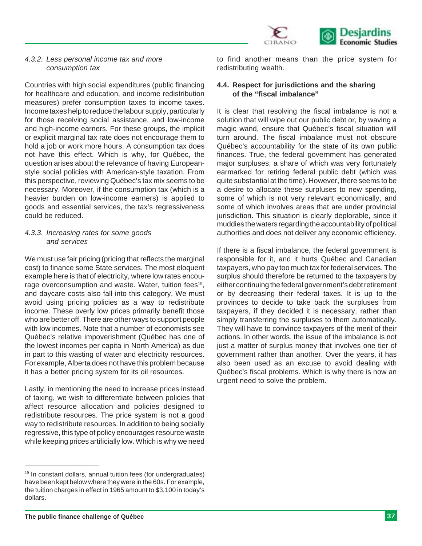

#### *4.3.2. Less personal income tax and more consumption tax*

Countries with high social expenditures (public financing for healthcare and education, and income redistribution measures) prefer consumption taxes to income taxes. Income taxes help to reduce the labour supply, particularly for those receiving social assistance, and low-income and high-income earners. For these groups, the implicit or explicit marginal tax rate does not encourage them to hold a job or work more hours. A consumption tax does not have this effect. Which is why, for Québec, the question arises about the relevance of having Europeanstyle social policies with American-style taxation. From this perspective, reviewing Québec's tax mix seems to be necessary. Moreover, if the consumption tax (which is a heavier burden on low-income earners) is applied to goods and essential services, the tax's regressiveness could be reduced.

#### *4.3.3. Increasing rates for some goods and services*

We must use fair pricing (pricing that reflects the marginal cost) to finance some State services. The most eloquent example here is that of electricity, where low rates encourage overconsumption and waste. Water, tuition fees<sup>19</sup>, and daycare costs also fall into this category. We must avoid using pricing policies as a way to redistribute income. These overly low prices primarily benefit those who are better off. There are other ways to support people with low incomes. Note that a number of economists see Québec's relative impoverishment (Québec has one of the lowest incomes per capita in North America) as due in part to this wasting of water and electricity resources. For example, Alberta does not have this problem because it has a better pricing system for its oil resources.

Lastly, in mentioning the need to increase prices instead of taxing, we wish to differentiate between policies that affect resource allocation and policies designed to redistribute resources. The price system is not a good way to redistribute resources. In addition to being socially regressive, this type of policy encourages resource waste while keeping prices artificially low. Which is why we need to find another means than the price system for redistributing wealth.

#### **4.4. Respect for jurisdictions and the sharing of the "fiscal imbalance"**

It is clear that resolving the fiscal imbalance is not a solution that will wipe out our public debt or, by waving a magic wand, ensure that Québec's fiscal situation will turn around. The fiscal imbalance must not obscure Québec's accountability for the state of its own public finances. True, the federal government has generated major surpluses, a share of which was very fortunately earmarked for retiring federal public debt (which was quite substantial at the time). However, there seems to be a desire to allocate these surpluses to new spending, some of which is not very relevant economically, and some of which involves areas that are under provincial jurisdiction. This situation is clearly deplorable, since it muddies the waters regarding the accountability of political authorities and does not deliver any economic efficiency.

If there is a fiscal imbalance, the federal government is responsible for it, and it hurts Québec and Canadian taxpayers, who pay too much tax for federal services. The surplus should therefore be returned to the taxpayers by either continuing the federal government's debt retirement or by decreasing their federal taxes. It is up to the provinces to decide to take back the surpluses from taxpayers, if they decided it is necessary, rather than simply transferring the surpluses to them automatically. They will have to convince taxpayers of the merit of their actions. In other words, the issue of the imbalance is not just a matter of surplus money that involves one tier of government rather than another. Over the years, it has also been used as an excuse to avoid dealing with Québec's fiscal problems. Which is why there is now an urgent need to solve the problem.

<sup>&</sup>lt;sup>19</sup> In constant dollars, annual tuition fees (for undergraduates) have been kept below where they were in the 60s. For example, the tuition charges in effect in 1965 amount to \$3,100 in today's dollars.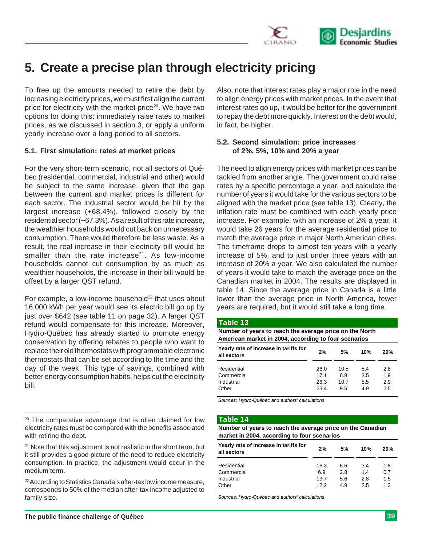

# **5. Create a precise plan through electricity pricing**

To free up the amounts needed to retire the debt by increasing electricity prices, we must first align the current price for electricity with the market price<sup>20</sup>. We have two options for doing this: immediately raise rates to market prices, as we discussed in section 3, or apply a uniform yearly increase over a long period to all sectors.

#### **5.1. First simulation: rates at market prices**

For the very short-term scenario, not all sectors of Québec (residential, commercial, industrial and other) would be subject to the same increase, given that the gap between the current and market prices is different for each sector. The industrial sector would be hit by the largest increase (+68.4%), followed closely by the residential sector (+67.3%). As a result of this rate increase, the wealthier households would cut back on unnecessary consumption. There would therefore be less waste. As a result, the real increase in their electricity bill would be smaller than the rate increase<sup>21</sup>. As low-income households cannot cut consumption by as much as wealthier households, the increase in their bill would be offset by a larger QST refund.

For example, a low-income household $^{22}$  that uses about 16,000 kWh per year would see its electric bill go up by just over \$642 (see table 11 on page 32). A larger QST refund would compensate for this increase. Moreover, Hydro-Québec has already started to promote energy conservation by offering rebates to people who want to replace their old thermostats with programmable electronic thermostats that can be set according to the time and the day of the week. This type of savings, combined with better energy consumption habits, helps cut the electricity bill.

Also, note that interest rates play a major role in the need to align energy prices with market prices. In the event that interest rates go up, it would be better for the government to repay the debt more quickly. Interest on the debt would, in fact, be higher.

#### **5.2. Second simulation: price increases of 2%, 5%, 10% and 20% a year**

The need to align energy prices with market prices can be tackled from another angle. The government could raise rates by a specific percentage a year, and calculate the number of years it would take for the various sectors to be aligned with the market price (see table 13). Clearly, the inflation rate must be combined with each yearly price increase. For example, with an increase of 2% a year, it would take 26 years for the average residential price to match the average price in major North American cities. The timeframe drops to almost ten years with a yearly increase of 5%, and to just under three years with an increase of 20% a year. We also calculated the number of years it would take to match the average price on the Canadian market in 2004. The results are displayed in table 14. Since the average price in Canada is a little lower than the average price in North America, fewer years are required, but it would still take a long time.

#### **Table 13**

**Yearly rate of increase in tariffs for all sectors 2% 5% 10% 20%** Residential 26.0 10.5 5.4 2.8 Commercial 17.1 6.9 3.5 1.9 Industrial 26.3 10.7 5.5 2.9 **Number of years to reach the average price on the North American market in 2004, according to four scenarios**

Other 23.4 9.5 4.9 2.5

*Sources: Hydro-Québec and authors' calculations*

#### **Table 14**

**Number of years to reach the average price on the Canadian market in 2004, according to four scenarios**

| Yearly rate of increase in tariffs for<br>all sectors | 2%   | 5%  | 10% | 20% |
|-------------------------------------------------------|------|-----|-----|-----|
| Residential                                           | 16.3 | 6.6 | 3.4 | 1.8 |
| Commercial                                            | 6.9  | 2.8 | 14  | 0.7 |
| Industrial                                            | 13.7 | 5.6 | 2.8 | 1.5 |
| Other                                                 | 12.2 | 4.9 | 2.5 | 1.3 |

*Sources: Hydro-Québec and authors' calculations*

<sup>&</sup>lt;sup>20</sup> The comparative advantage that is often claimed for low electricity rates must be compared with the benefits associated with retiring the debt.

<sup>&</sup>lt;sup>21</sup> Note that this adjustment is not realistic in the short term, but it still provides a good picture of the need to reduce electricity consumption. In practice, the adjustment would occur in the medium term.

<sup>22</sup> According to Statistics Canada's after-tax low income measure, corresponds to 50% of the median after-tax income adjusted to family size.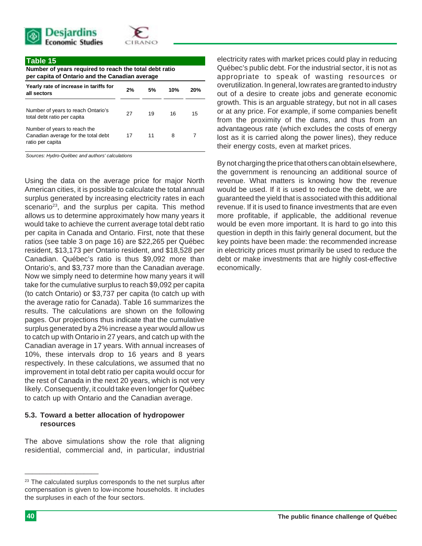



#### **Table 15**

**Number of years required to reach the total debt ratio per capita of Ontario and the Canadian average**

| 2% | 5% | 10% | 20% |
|----|----|-----|-----|
| 27 | 19 | 16  | 15  |
| 17 | 11 | 8   |     |
|    |    |     |     |

*Sources: Hydro-Québec and authors' calculations*

Using the data on the average price for major North American cities, it is possible to calculate the total annual surplus generated by increasing electricity rates in each scenario<sup>23</sup>, and the surplus per capita. This method allows us to determine approximately how many years it would take to achieve the current average total debt ratio per capita in Canada and Ontario. First, note that these ratios (see table 3 on page 16) are \$22,265 per Québec resident, \$13,173 per Ontario resident, and \$18,528 per Canadian. Québec's ratio is thus \$9,092 more than Ontario's, and \$3,737 more than the Canadian average. Now we simply need to determine how many years it will take for the cumulative surplus to reach \$9,092 per capita (to catch Ontario) or \$3,737 per capita (to catch up with the average ratio for Canada). Table 16 summarizes the results. The calculations are shown on the following pages. Our projections thus indicate that the cumulative surplus generated by a 2% increase a year would allow us to catch up with Ontario in 27 years, and catch up with the Canadian average in 17 years. With annual increases of 10%, these intervals drop to 16 years and 8 years respectively. In these calculations, we assumed that no improvement in total debt ratio per capita would occur for the rest of Canada in the next 20 years, which is not very likely. Consequently, it could take even longer for Québec to catch up with Ontario and the Canadian average.

#### **5.3. Toward a better allocation of hydropower resources**

The above simulations show the role that aligning residential, commercial and, in particular, industrial electricity rates with market prices could play in reducing Québec's public debt. For the industrial sector, it is not as appropriate to speak of wasting resources or overutilization. In general, low rates are granted to industry out of a desire to create jobs and generate economic growth. This is an arguable strategy, but not in all cases or at any price. For example, if some companies benefit from the proximity of the dams, and thus from an advantageous rate (which excludes the costs of energy lost as it is carried along the power lines), they reduce their energy costs, even at market prices.

By not charging the price that others can obtain elsewhere, the government is renouncing an additional source of revenue. What matters is knowing how the revenue would be used. If it is used to reduce the debt, we are guaranteed the yield that is associated with this additional revenue. If it is used to finance investments that are even more profitable, if applicable, the additional revenue would be even more important. It is hard to go into this question in depth in this fairly general document, but the key points have been made: the recommended increase in electricity prices must primarily be used to reduce the debt or make investments that are highly cost-effective economically.

<sup>&</sup>lt;sup>23</sup> The calculated surplus corresponds to the net surplus after compensation is given to low-income households. It includes the surpluses in each of the four sectors.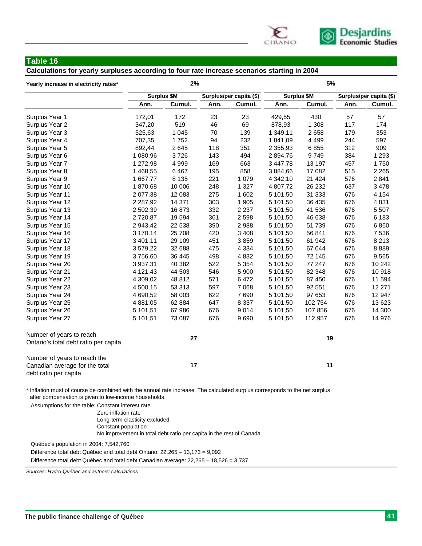

#### **Table 16**

**Calculations for yearly surpluses according to four rate increase scenarios starting in 2004**

| Yearly increase in electricity rates*                                                                                                                                                |                    | 2%      |      |                         | 5%            |             |      |                         |  |
|--------------------------------------------------------------------------------------------------------------------------------------------------------------------------------------|--------------------|---------|------|-------------------------|---------------|-------------|------|-------------------------|--|
|                                                                                                                                                                                      | <b>Surplus \$M</b> |         |      | Surplus/per capita (\$) |               | Surplus \$M |      | Surplus/per capita (\$) |  |
|                                                                                                                                                                                      | Ann.               | Cumul.  | Ann. | Cumul.                  | Ann.          | Cumul.      | Ann. | Cumul.                  |  |
| Surplus Year 1                                                                                                                                                                       | 172,01             | 172     | 23   | 23                      | 429,55        | 430         | 57   | 57                      |  |
| Surplus Year 2                                                                                                                                                                       | 347,20             | 519     | 46   | 69                      | 878,93        | 1 308       | 117  | 174                     |  |
| Surplus Year 3                                                                                                                                                                       | 525,63             | 1 0 4 5 | 70   | 139                     | 1 349,11      | 2 6 5 8     | 179  | 353                     |  |
| Surplus Year 4                                                                                                                                                                       | 707,35             | 1752    | 94   | 232                     | 1 841,09      | 4 4 9 9     | 244  | 597                     |  |
| Surplus Year 5                                                                                                                                                                       | 892,44             | 2645    | 118  | 351                     | 2 3 5 5 , 9 3 | 6855        | 312  | 909                     |  |
| Surplus Year 6                                                                                                                                                                       | 1 080,96           | 3726    | 143  | 494                     | 2 894,76      | 9749        | 384  | 1 2 9 3                 |  |
| Surplus Year 7                                                                                                                                                                       | 1 272,98           | 4 9 9 9 | 169  | 663                     | 3 447,78      | 13 197      | 457  | 1750                    |  |
| Surplus Year 8                                                                                                                                                                       | 1 468,55           | 6467    | 195  | 858                     | 3 884,66      | 17 082      | 515  | 2 2 6 5                 |  |
| Surplus Year 9                                                                                                                                                                       | 1 667,77           | 8 1 3 5 | 221  | 1 0 7 9                 | 4 342,10      | 21 4 24     | 576  | 2841                    |  |
| Surplus Year 10                                                                                                                                                                      | 1870,68            | 10 006  | 248  | 1 3 2 7                 | 4 807,72      | 26 232      | 637  | 3 4 7 8                 |  |
| Surplus Year 11                                                                                                                                                                      | 2 077,38           | 12 083  | 275  | 1 602                   | 5 101,50      | 31 333      | 676  | 4 1 5 4                 |  |
| Surplus Year 12                                                                                                                                                                      | 2 2 8 7, 9 2       | 14 371  | 303  | 1 905                   | 5 101,50      | 36 435      | 676  | 4831                    |  |
| Surplus Year 13                                                                                                                                                                      | 2 502,39           | 16 873  | 332  | 2 2 3 7                 | 5 101,50      | 41 536      | 676  | 5 5 0 7                 |  |
| Surplus Year 14                                                                                                                                                                      | 2720,87            | 19 5 94 | 361  | 2 5 9 8                 | 5 101,50      | 46 638      | 676  | 6 183                   |  |
| Surplus Year 15                                                                                                                                                                      | 2 943,42           | 22 538  | 390  | 2 9 8 8                 | 5 101,50      | 51 739      | 676  | 6860                    |  |
| Surplus Year 16                                                                                                                                                                      | 3 170,14           | 25 708  | 420  | 3 4 0 8                 | 5 101,50      | 56 841      | 676  | 7536                    |  |
| Surplus Year 17                                                                                                                                                                      | 3 4 0 1 , 1 1      | 29 109  | 451  | 3859                    | 5 101,50      | 61 942      | 676  | 8 2 1 3                 |  |
| Surplus Year 18                                                                                                                                                                      | 3 579,22           | 32 688  | 475  | 4 3 3 4                 | 5 101,50      | 67 044      | 676  | 8889                    |  |
| Surplus Year 19                                                                                                                                                                      | 3756,60            | 36 445  | 498  | 4 8 3 2                 | 5 101,50      | 72 145      | 676  | 9565                    |  |
| Surplus Year 20                                                                                                                                                                      | 3 937,31           | 40 382  | 522  | 5 3 5 4                 | 5 101,50      | 77 247      | 676  | 10 24 2                 |  |
| Surplus Year 21                                                                                                                                                                      | 4 121,43           | 44 503  | 546  | 5 9 0 0                 | 5 101,50      | 82 348      | 676  | 10918                   |  |
| Surplus Year 22                                                                                                                                                                      | 4 309,02           | 48 812  | 571  | 6 4 7 2                 | 5 101,50      | 87 450      | 676  | 11 594                  |  |
| Surplus Year 23                                                                                                                                                                      | 4 500,15           | 53 313  | 597  | 7 0 68                  | 5 101,50      | 92 551      | 676  | 12 271                  |  |
| Surplus Year 24                                                                                                                                                                      | 4 690,52           | 58 003  | 622  | 7690                    | 5 101,50      | 97 653      | 676  | 12 947                  |  |
| Surplus Year 25                                                                                                                                                                      | 4 881,05           | 62 884  | 647  | 8 3 3 7                 | 5 101,50      | 102 754     | 676  | 13 623                  |  |
| Surplus Year 26                                                                                                                                                                      | 5 101,51           | 67 986  | 676  | 9 0 1 4                 | 5 101,50      | 107 856     | 676  | 14 300                  |  |
| Surplus Year 27                                                                                                                                                                      | 5 101,51           | 73 087  | 676  | 9690                    | 5 101,50      | 112 957     | 676  | 14 976                  |  |
| Number of years to reach                                                                                                                                                             |                    | 27      |      |                         |               | 19          |      |                         |  |
| Ontario's total debt ratio per capita                                                                                                                                                |                    |         |      |                         |               |             |      |                         |  |
| Number of years to reach the                                                                                                                                                         |                    |         |      |                         |               |             |      |                         |  |
| Canadian average for the total                                                                                                                                                       | 17<br>11           |         |      |                         |               |             |      |                         |  |
| debt ratio per capita                                                                                                                                                                |                    |         |      |                         |               |             |      |                         |  |
| * Inflation must of course be combined with the annual rate increase. The calculated surplus corresponds to the net surplus<br>after compensation is given to low-income households. |                    |         |      |                         |               |             |      |                         |  |

Assumptions for the table: Constant interest rate

Zero inflation rate Long-term elasticity excluded Constant population No improvement in total debt ratio per capita in the rest of Canada

Québec's population in 2004: 7,542,760

Difference total debt Québec and total debt Ontario: 22,265 – 13,173 = 9,092

Difference total debt Québec and total debt Canadian average: 22,265 – 18,526 = 3,737

*Sources: Hydro-Québec and authors' calculations*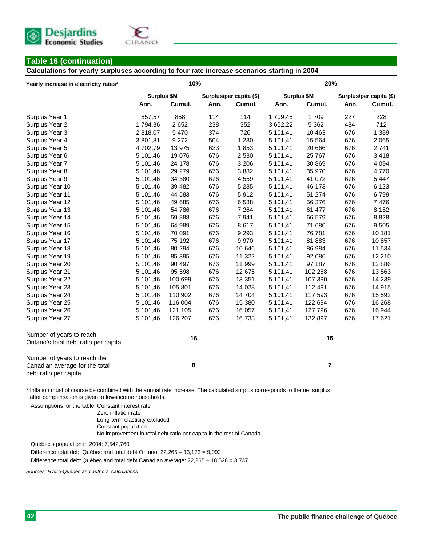

#### **Table 16 (continuation)**

**Calculations for yearly surpluses according to four rate increase scenarios starting in 2004**

| Yearly increase in electricity rates*                                                                                                                                                                                                     |             | 10%     |                         |         | 20%         |                |                         |          |
|-------------------------------------------------------------------------------------------------------------------------------------------------------------------------------------------------------------------------------------------|-------------|---------|-------------------------|---------|-------------|----------------|-------------------------|----------|
|                                                                                                                                                                                                                                           | Surplus \$M |         | Surplus/per capita (\$) |         | Surplus \$M |                | Surplus/per capita (\$) |          |
|                                                                                                                                                                                                                                           | Ann.        | Cumul.  | Ann.                    | Cumul.  | Ann.        | Cumul.         | Ann.                    | Cumul.   |
| Surplus Year 1                                                                                                                                                                                                                            | 857,57      | 858     | 114                     | 114     | 1709,45     | 1 709          | 227                     | 228      |
| Surplus Year 2                                                                                                                                                                                                                            | 1794,36     | 2652    | 238                     | 352     | 3 652,22    | 5 3 6 2        | 484                     | 712      |
| Surplus Year 3                                                                                                                                                                                                                            | 2 818,07    | 5 4 7 0 | 374                     | 726     | 5 101,41    | 10 4 63        | 676                     | 1 3 8 9  |
| Surplus Year 4                                                                                                                                                                                                                            | 3 801,81    | 9 2 7 2 | 504                     | 1 2 3 0 | 5 101,41    | 15 5 64        | 676                     | 2 0 6 5  |
| Surplus Year 5                                                                                                                                                                                                                            | 4702,79     | 13 975  | 623                     | 1853    | 5 101,41    | 20 666         | 676                     | 2741     |
| Surplus Year 6                                                                                                                                                                                                                            | 5 101,46    | 19 076  | 676                     | 2 5 3 0 | 5 101,41    | 25 767         | 676                     | 3418     |
| Surplus Year 7                                                                                                                                                                                                                            | 5 101,46    | 24 178  | 676                     | 3 2 0 6 | 5 101,41    | 30 869         | 676                     | 4 0 9 4  |
| Surplus Year 8                                                                                                                                                                                                                            | 5 101,46    | 29 27 9 | 676                     | 3882    | 5 101,41    | 35 970         | 676                     | 4770     |
| Surplus Year 9                                                                                                                                                                                                                            | 5 101,46    | 34 380  | 676                     | 4 5 5 9 | 5 101,41    | 41 072         | 676                     | 5 447    |
| Surplus Year 10                                                                                                                                                                                                                           | 5 101,46    | 39 4 82 | 676                     | 5 2 3 5 | 5 101,41    | 46 173         | 676                     | 6 1 2 3  |
| Surplus Year 11                                                                                                                                                                                                                           | 5 101,46    | 44 583  | 676                     | 5912    | 5 101,41    | 51 274         | 676                     | 6799     |
| Surplus Year 12                                                                                                                                                                                                                           | 5 101,46    | 49 685  | 676                     | 6588    | 5 101,41    | 56 376         | 676                     | 7476     |
| Surplus Year 13                                                                                                                                                                                                                           | 5 101,46    | 54 786  | 676                     | 7 2 6 4 | 5 101,41    | 61 477         | 676                     | 8 1 5 2  |
| Surplus Year 14                                                                                                                                                                                                                           | 5 101,46    | 59 888  | 676                     | 7941    | 5 101,41    | 66 579         | 676                     | 8828     |
| Surplus Year 15                                                                                                                                                                                                                           | 5 101,46    | 64 989  | 676                     | 8 6 1 7 | 5 101,41    | 71 680         | 676                     | 9505     |
| Surplus Year 16                                                                                                                                                                                                                           | 5 101,46    | 70 091  | 676                     | 9 2 9 3 | 5 101,41    | 76 781         | 676                     | 10 181   |
| Surplus Year 17                                                                                                                                                                                                                           | 5 101,46    | 75 192  | 676                     | 9 9 7 0 | 5 101,41    | 81 883         | 676                     | 10857    |
| Surplus Year 18                                                                                                                                                                                                                           | 5 101,46    | 80 294  | 676                     | 10 646  | 5 101,41    | 86 984         | 676                     | 11 534   |
| Surplus Year 19                                                                                                                                                                                                                           | 5 101,46    | 85 395  | 676                     | 11 322  | 5 101,41    | 92 086         | 676                     | 12 210   |
| Surplus Year 20                                                                                                                                                                                                                           | 5 101,46    | 90 497  | 676                     | 11 999  | 5 101,41    | 97 187         | 676                     | 12 8 86  |
| Surplus Year 21                                                                                                                                                                                                                           | 5 101,46    | 95 598  | 676                     | 12 675  | 5 101,41    | 102 288        | 676                     | 13 563   |
| Surplus Year 22                                                                                                                                                                                                                           | 5 101,46    | 100 699 | 676                     | 13 351  | 5 101,41    | 107 390        | 676                     | 14 2 39  |
| Surplus Year 23                                                                                                                                                                                                                           | 5 101,46    | 105 801 | 676                     | 14 0 28 | 5 101,41    | 112 491        | 676                     | 14 915   |
| Surplus Year 24                                                                                                                                                                                                                           | 5 101,46    | 110 902 | 676                     | 14 704  | 5 101,41    | 117 593        | 676                     | 15 5 9 2 |
| Surplus Year 25                                                                                                                                                                                                                           | 5 101,46    | 116 004 | 676                     | 15 380  | 5 101,41    | 122 694        | 676                     | 16 268   |
| Surplus Year 26                                                                                                                                                                                                                           | 5 101,46    | 121 105 | 676                     | 16 057  | 5 101,41    | 127 796        | 676                     | 16 944   |
| Surplus Year 27                                                                                                                                                                                                                           | 5 101,46    | 126 207 | 676                     | 16 733  | 5 101,41    | 132 897        | 676                     | 17621    |
| Number of years to reach                                                                                                                                                                                                                  |             | 16      |                         |         |             | 15             |                         |          |
| Ontario's total debt ratio per capita                                                                                                                                                                                                     |             |         |                         |         |             |                |                         |          |
| Number of years to reach the                                                                                                                                                                                                              |             |         |                         |         |             |                |                         |          |
| Canadian average for the total                                                                                                                                                                                                            | 8           |         |                         |         |             | $\overline{7}$ |                         |          |
| debt ratio per capita                                                                                                                                                                                                                     |             |         |                         |         |             |                |                         |          |
| * Inflation must of course be combined with the annual rate increase. The calculated surplus corresponds to the net surplus<br>after compensation is given to low-income households.<br>Assumptions for the table: Constant interest rate |             |         |                         |         |             |                |                         |          |

Zero inflation rate Long-term elasticity excluded Constant population No improvement in total debt ratio per capita in the rest of Canada

Québec's population in 2004: 7,542,760

Difference total debt Québec and total debt Ontario: 22,265 – 13,173 = 9,092

Difference total debt Québec and total debt Canadian average: 22,265 – 18,526 = 3,737

*Sources: Hydro-Québec and authors' calculations*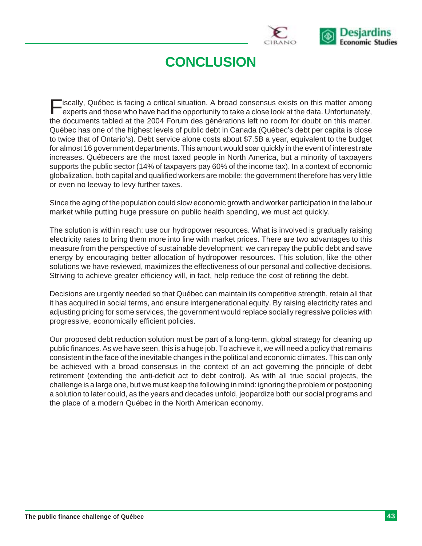

# **CONCLUSION**

 $\overline{\phantom{a}}$  iscally, Québec is facing a critical situation. A broad consensus exists on this matter among experts and those who have had the opportunity to take a close look at the data. Unfortunately, the documents tabled at the 2004 Forum des générations left no room for doubt on this matter. Québec has one of the highest levels of public debt in Canada (Québec's debt per capita is close to twice that of Ontario's). Debt service alone costs about \$7.5B a year, equivalent to the budget for almost 16 government departments. This amount would soar quickly in the event of interest rate increases. Québecers are the most taxed people in North America, but a minority of taxpayers supports the public sector (14% of taxpayers pay 60% of the income tax). In a context of economic globalization, both capital and qualified workers are mobile: the government therefore has very little or even no leeway to levy further taxes.

Since the aging of the population could slow economic growth and worker participation in the labour market while putting huge pressure on public health spending, we must act quickly.

The solution is within reach: use our hydropower resources. What is involved is gradually raising electricity rates to bring them more into line with market prices. There are two advantages to this measure from the perspective of sustainable development: we can repay the public debt and save energy by encouraging better allocation of hydropower resources. This solution, like the other solutions we have reviewed, maximizes the effectiveness of our personal and collective decisions. Striving to achieve greater efficiency will, in fact, help reduce the cost of retiring the debt.

Decisions are urgently needed so that Québec can maintain its competitive strength, retain all that it has acquired in social terms, and ensure intergenerational equity. By raising electricity rates and adjusting pricing for some services, the government would replace socially regressive policies with progressive, economically efficient policies.

Our proposed debt reduction solution must be part of a long-term, global strategy for cleaning up public finances. As we have seen, this is a huge job. To achieve it, we will need a policy that remains consistent in the face of the inevitable changes in the political and economic climates. This can only be achieved with a broad consensus in the context of an act governing the principle of debt retirement (extending the anti-deficit act to debt control). As with all true social projects, the challenge is a large one, but we must keep the following in mind: ignoring the problem or postponing a solution to later could, as the years and decades unfold, jeopardize both our social programs and the place of a modern Québec in the North American economy.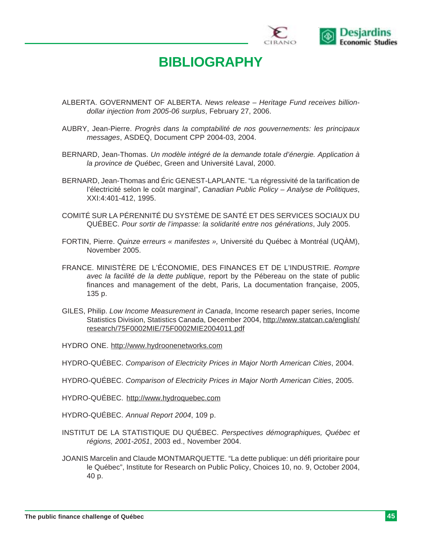

# **BIBLIOGRAPHY**

- ALBERTA. GOVERNMENT OF ALBERTA. *News release Heritage Fund receives billiondollar injection from 2005-06 surplus*, February 27, 2006.
- AUBRY, Jean-Pierre. *Progrès dans la comptabilité de nos gouvernements: les principaux messages*, ASDEQ, Document CPP 2004-03, 2004.
- BERNARD, Jean-Thomas. *Un modèle intégré de la demande totale d'énergie. Application à la province de Québec*, Green and Université Laval, 2000.
- BERNARD, Jean-Thomas and Éric GENEST-LAPLANTE. "La régressivité de la tarification de l'électricité selon le coût marginal", *Canadian Public Policy – Analyse de Politiques*, XXI:4:401-412, 1995.
- COMITÉ SUR LA PÉRENNITÉ DU SYSTÈME DE SANTÉ ET DES SERVICES SOCIAUX DU QUÉBEC. *Pour sortir de l'impasse: la solidarité entre nos générations*, July 2005.
- FORTIN, Pierre. *Quinze erreurs « manifestes »,* Université du Québec à Montréal (UQÀM), November 2005.
- FRANCE. MINISTÈRE DE L'ÉCONOMIE, DES FINANCES ET DE L'INDUSTRIE. *Rompre avec la facilité de la dette publique*, report by the Pébereau on the state of public finances and management of the debt, Paris, La documentation française, 2005, 135 p.
- GILES, Philip. *Low Income Measurement in Canada*, Income research paper series, Income Statistics Division, Statistics Canada, December 2004, http://www.statcan.ca/english/ research/75F0002MIE/75F0002MIE2004011.pdf
- HYDRO ONE. http://www.hydroonenetworks.com
- HYDRO-QUÉBEC. *Comparison of Electricity Prices in Major North American Cities*, 2004.
- HYDRO-QUÉBEC. *Comparison of Electricity Prices in Major North American Cities*, 2005.

HYDRO-QUÉBEC. http://www.hydroquebec.com

- HYDRO-QUÉBEC. *Annual Report 2004*, 109 p.
- INSTITUT DE LA STATISTIQUE DU QUÉBEC. *Perspectives démographiques, Québec et régions, 2001-2051*, 2003 ed., November 2004.
- JOANIS Marcelin and Claude MONTMARQUETTE. "La dette publique: un défi prioritaire pour le Québec", Institute for Research on Public Policy, Choices 10, no. 9, October 2004, 40 p.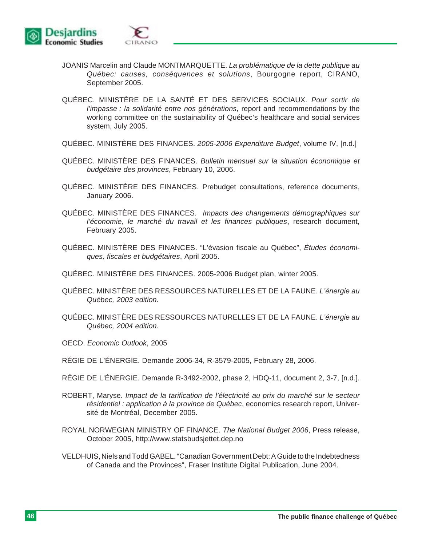

- JOANIS Marcelin and Claude MONTMARQUETTE. *La problématique de la dette publique au Québec: causes, conséquences et solutions*, Bourgogne report, CIRANO, September 2005.
- QUÉBEC. MINISTÈRE DE LA SANTÉ ET DES SERVICES SOCIAUX. *Pour sortir de l'impasse : la solidarité entre nos générations*, report and recommendations by the working committee on the sustainability of Québec's healthcare and social services system, July 2005.
- QUÉBEC. MINISTÈRE DES FINANCES. *2005-2006 Expenditure Budget*, volume IV, [n.d.]
- QUÉBEC. MINISTÈRE DES FINANCES. *Bulletin mensuel sur la situation économique et budgétaire des provinces*, February 10, 2006.
- QUÉBEC. MINISTÈRE DES FINANCES. Prebudget consultations, reference documents, January 2006.
- QUÉBEC. MINISTÈRE DES FINANCES. *Impacts des changements démographiques sur l'économie, le marché du travail et les finances publiques*, research document, February 2005.
- QUÉBEC. MINISTÈRE DES FINANCES. "L'évasion fiscale au Québec", *Études économiques, fiscales et budgétaires*, April 2005.
- QUÉBEC. MINISTÈRE DES FINANCES. 2005-2006 Budget plan, winter 2005.
- QUÉBEC. MINISTÈRE DES RESSOURCES NATURELLES ET DE LA FAUNE. *L'énergie au Québec, 2003 edition.*
- QUÉBEC. MINISTÈRE DES RESSOURCES NATURELLES ET DE LA FAUNE. *L'énergie au Québec, 2004 edition.*
- OECD. *Economic Outlook*, 2005
- RÉGIE DE L'ÉNERGIE. Demande 2006-34, R-3579-2005, February 28, 2006.
- RÉGIE DE L'ÉNERGIE. Demande R-3492-2002, phase 2, HDQ-11, document 2, 3-7, [n.d.].
- ROBERT, Maryse. *Impact de la tarification de l'électricité au prix du marché sur le secteur résidentiel : application à la province de Québec*, economics research report, Université de Montréal, December 2005.
- ROYAL NORWEGIAN MINISTRY OF FINANCE. *The National Budget 2006*, Press release, October 2005, http://www.statsbudsjettet.dep.no
- VELDHUIS, Niels and Todd GABEL. "Canadian Government Debt: A Guide to the Indebtedness of Canada and the Provinces", Fraser Institute Digital Publication, June 2004.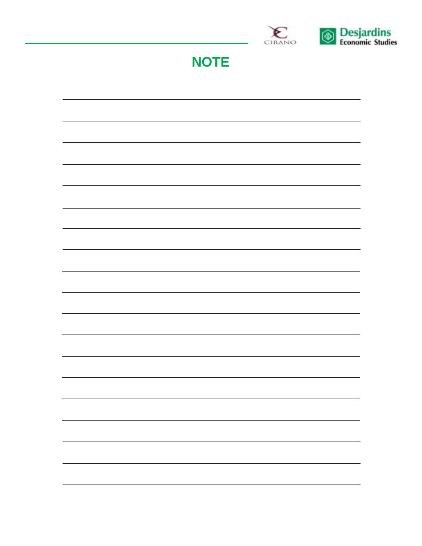

**NOTE**